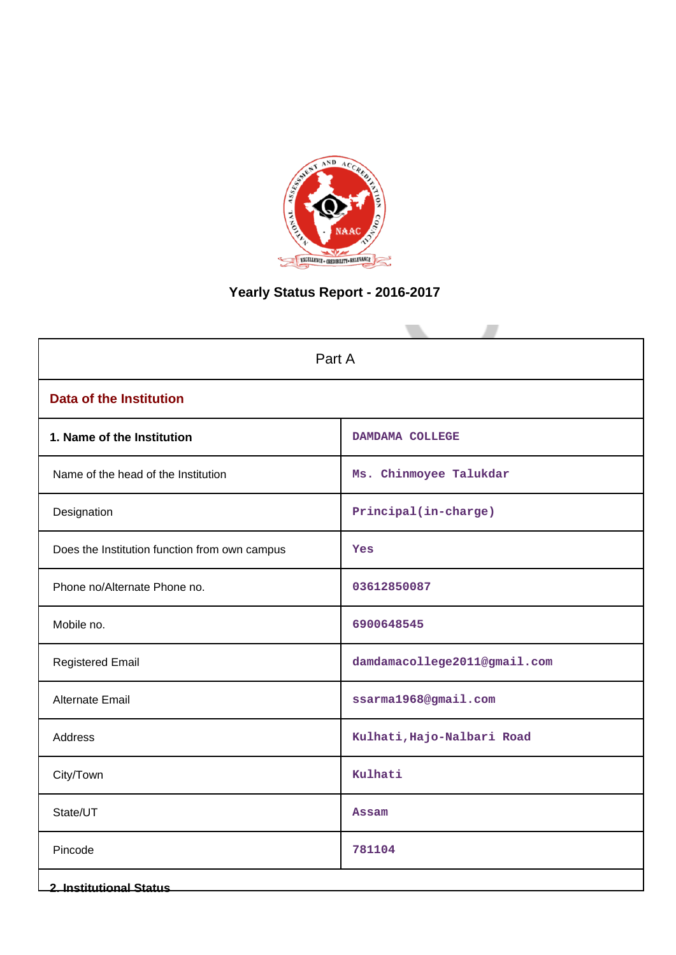

# **Yearly Status Report - 2016-2017**

| Part A                                        |                              |  |  |
|-----------------------------------------------|------------------------------|--|--|
| <b>Data of the Institution</b>                |                              |  |  |
| 1. Name of the Institution                    | DAMDAMA COLLEGE              |  |  |
| Name of the head of the Institution           | Ms. Chinmoyee Talukdar       |  |  |
| Designation                                   | Principal(in-charge)         |  |  |
| Does the Institution function from own campus | Yes                          |  |  |
| Phone no/Alternate Phone no.                  | 03612850087                  |  |  |
| Mobile no.                                    | 6900648545                   |  |  |
| <b>Registered Email</b>                       | damdamacollege2011@gmail.com |  |  |
| Alternate Email                               | ssarma1968@gmail.com         |  |  |
| <b>Address</b>                                | Kulhati, Hajo-Nalbari Road   |  |  |
| City/Town                                     | Kulhati                      |  |  |
| State/UT                                      | <b>Assam</b>                 |  |  |
| Pincode                                       | 781104                       |  |  |
| <b>2. Institutional Status</b>                |                              |  |  |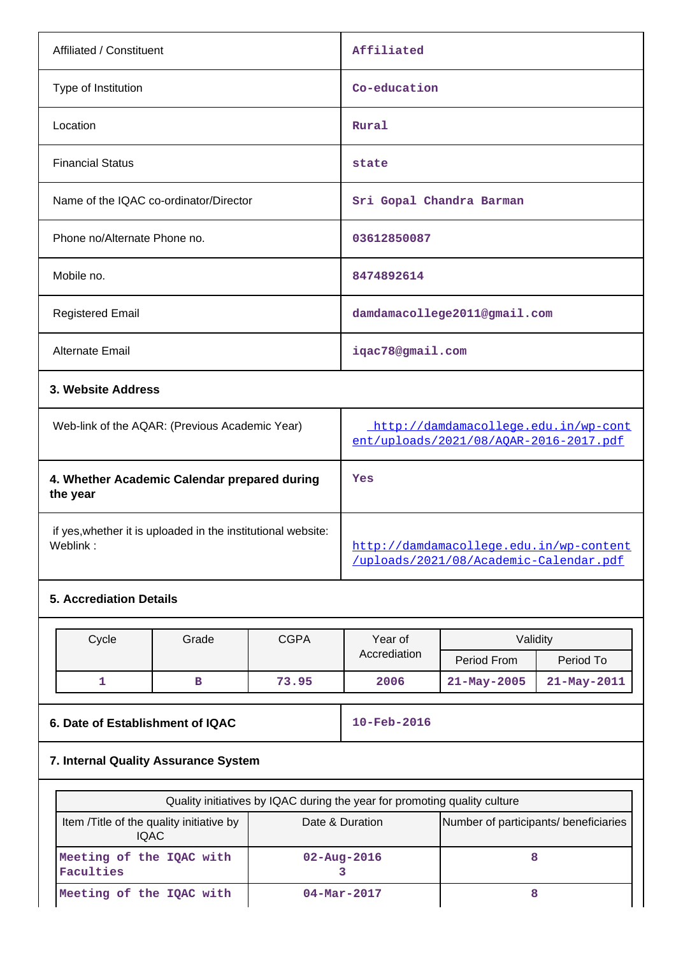| Affiliated / Constituent               | Affiliated                   |
|----------------------------------------|------------------------------|
| Type of Institution                    | Co-education                 |
| Location                               | Rural                        |
| <b>Financial Status</b>                | state                        |
| Name of the IQAC co-ordinator/Director | Sri Gopal Chandra Barman     |
| Phone no/Alternate Phone no.           | 03612850087                  |
| Mobile no.                             | 8474892614                   |
| <b>Registered Email</b>                | damdamacollege2011@gmail.com |
| <b>Alternate Email</b>                 | iqac78@gmail.com             |
| 3. Website Address                     |                              |
|                                        |                              |

| Web-link of the AQAR: (Previous Academic Year)                           | http://damdamacollege.edu.in/wp-cont<br>ent/uploads/2021/08/AOAR-2016-2017.pdf    |
|--------------------------------------------------------------------------|-----------------------------------------------------------------------------------|
| 4. Whether Academic Calendar prepared during<br>the year                 | Yes                                                                               |
| if yes, whether it is uploaded in the institutional website:<br>Weblink: | http://damdamacollege.edu.in/wp-content<br>/uploads/2021/08/Academic-Calendar.pdf |

## **5. Accrediation Details**

| Cycle | Grade | <b>CGPA</b> | Year of      | Validitv    |             |
|-------|-------|-------------|--------------|-------------|-------------|
|       |       |             | Accrediation | Period From | Period To   |
|       |       | 73.95       | 2006         | 21-May-2005 | 21-May-2011 |

**6. Date of Establishment of IQAC** 10-Feb-2016

## **7. Internal Quality Assurance System**

| Quality initiatives by IQAC during the year for promoting quality culture |                   |                                       |
|---------------------------------------------------------------------------|-------------------|---------------------------------------|
| Item / Title of the quality initiative by<br>IQAC.                        | Date & Duration   | Number of participants/ beneficiaries |
| Meeting of the IQAC with<br>Faculties                                     | $02 - Aug - 2016$ |                                       |
| Meeting of the IQAC with                                                  | $04 - Mar - 2017$ |                                       |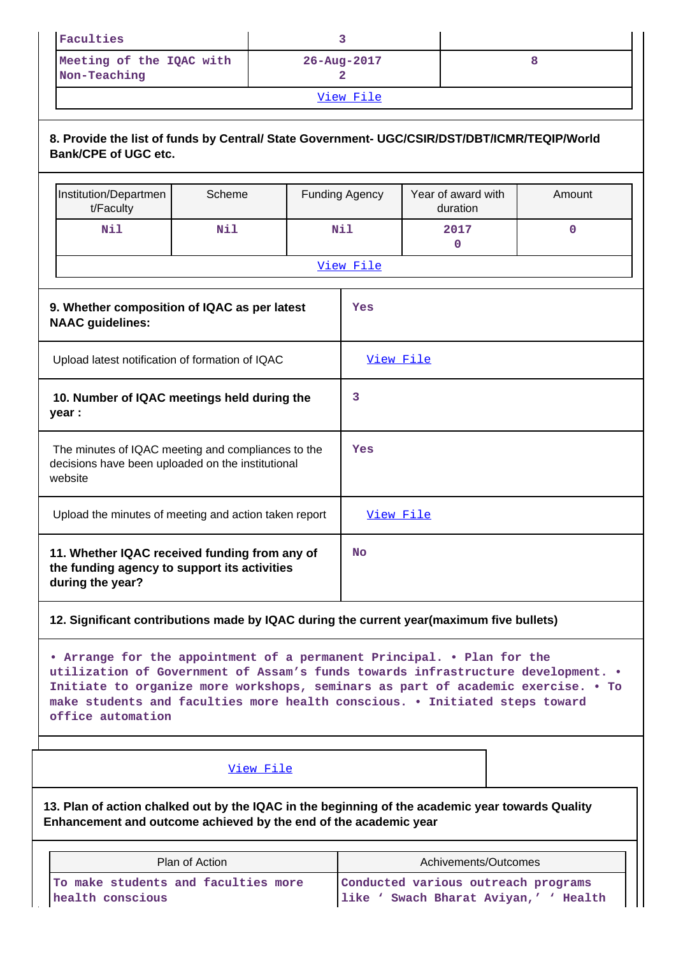| Faculties                                |                          |  |  |
|------------------------------------------|--------------------------|--|--|
| Meeting of the IQAC with<br>Non-Teaching | $26 - \text{Aug} - 2017$ |  |  |
| View File                                |                          |  |  |

**8. Provide the list of funds by Central/ State Government- UGC/CSIR/DST/DBT/ICMR/TEQIP/World**

|                                                                                                                    | o. Provide the list of funds by Gentral/ State Government- OGC/GSIR/DST/DBT/IGMR/TEQIP/WOHQ<br><b>Bank/CPE of UGC etc.</b> |            |  |                       |                                |             |
|--------------------------------------------------------------------------------------------------------------------|----------------------------------------------------------------------------------------------------------------------------|------------|--|-----------------------|--------------------------------|-------------|
|                                                                                                                    | Institution/Departmen<br>t/Faculty                                                                                         | Scheme     |  | <b>Funding Agency</b> | Year of award with<br>duration | Amount      |
|                                                                                                                    | Nil                                                                                                                        | Nil        |  | Nil                   | 2017<br>0                      | $\mathbf 0$ |
|                                                                                                                    |                                                                                                                            |            |  | View File             |                                |             |
| 9. Whether composition of IQAC as per latest<br>Yes<br><b>NAAC</b> guidelines:                                     |                                                                                                                            |            |  |                       |                                |             |
| Upload latest notification of formation of IQAC                                                                    |                                                                                                                            | View File  |  |                       |                                |             |
| 10. Number of IQAC meetings held during the<br>year :                                                              |                                                                                                                            | 3          |  |                       |                                |             |
| The minutes of IQAC meeting and compliances to the<br>decisions have been uploaded on the institutional<br>website |                                                                                                                            | <b>Yes</b> |  |                       |                                |             |
| Upload the minutes of meeting and action taken report                                                              |                                                                                                                            | View File  |  |                       |                                |             |
| 11. Whether IQAC received funding from any of<br>the funding agency to support its activities<br>during the year?  |                                                                                                                            | <b>No</b>  |  |                       |                                |             |

## **12. Significant contributions made by IQAC during the current year(maximum five bullets)**

**• Arrange for the appointment of a permanent Principal. • Plan for the utilization of Government of Assam's funds towards infrastructure development. • Initiate to organize more workshops, seminars as part of academic exercise. • To make students and faculties more health conscious. • Initiated steps toward office automation**

## [View File](https://assessmentonline.naac.gov.in/public/Postacc/Contribution/13124_Contribution.xlsx)

**13. Plan of action chalked out by the IQAC in the beginning of the academic year towards Quality Enhancement and outcome achieved by the end of the academic year**

| Plan of Action                      | Achivements/Outcomes                  |
|-------------------------------------|---------------------------------------|
| To make students and faculties more | Conducted various outreach programs   |
| health conscious                    | like ' Swach Bharat Aviyan,' ' Health |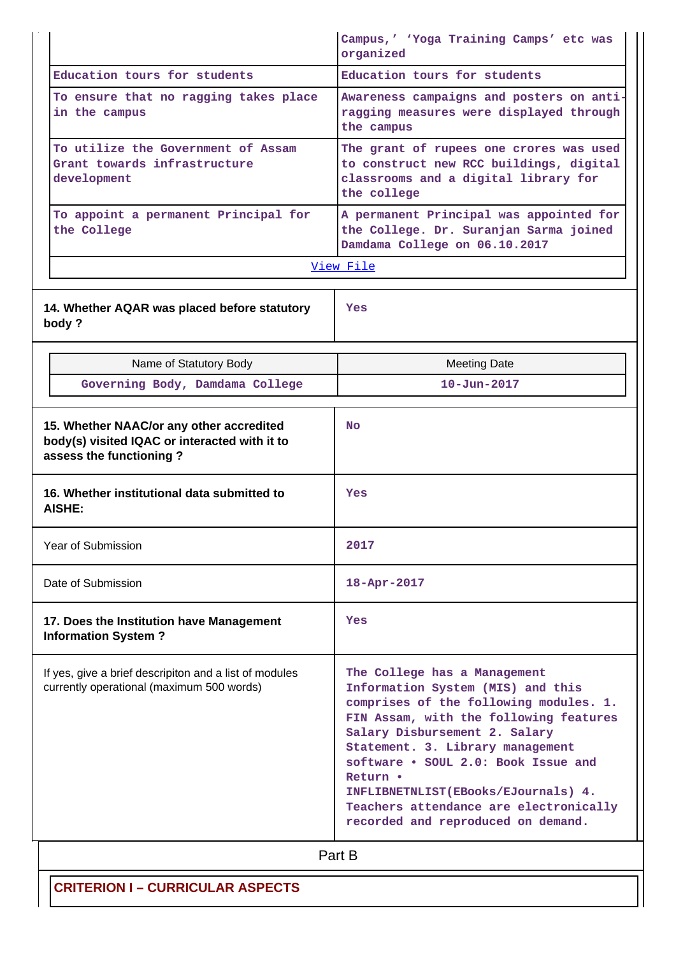|                                                                                                                      | Campus,' 'Yoga Training Camps' etc was<br>organized                                                                                                                                                                                                                                                                  |
|----------------------------------------------------------------------------------------------------------------------|----------------------------------------------------------------------------------------------------------------------------------------------------------------------------------------------------------------------------------------------------------------------------------------------------------------------|
| Education tours for students                                                                                         | Education tours for students                                                                                                                                                                                                                                                                                         |
| To ensure that no ragging takes place<br>in the campus                                                               | Awareness campaigns and posters on anti-<br>ragging measures were displayed through<br>the campus                                                                                                                                                                                                                    |
| To utilize the Government of Assam<br>Grant towards infrastructure<br>development                                    | The grant of rupees one crores was used<br>to construct new RCC buildings, digital<br>classrooms and a digital library for<br>the college                                                                                                                                                                            |
| To appoint a permanent Principal for<br>the College                                                                  | A permanent Principal was appointed for<br>the College. Dr. Suranjan Sarma joined<br>Damdama College on 06.10.2017                                                                                                                                                                                                   |
|                                                                                                                      | View File                                                                                                                                                                                                                                                                                                            |
| 14. Whether AQAR was placed before statutory<br>body?                                                                | Yes                                                                                                                                                                                                                                                                                                                  |
| Name of Statutory Body                                                                                               | <b>Meeting Date</b>                                                                                                                                                                                                                                                                                                  |
| Governing Body, Damdama College                                                                                      | $10 - Jun - 2017$                                                                                                                                                                                                                                                                                                    |
| 15. Whether NAAC/or any other accredited<br>body(s) visited IQAC or interacted with it to<br>assess the functioning? | No                                                                                                                                                                                                                                                                                                                   |
| 16. Whether institutional data submitted to<br>AISHE:                                                                | Yes                                                                                                                                                                                                                                                                                                                  |
| Year of Submission                                                                                                   | 2017                                                                                                                                                                                                                                                                                                                 |
| Date of Submission                                                                                                   | 18-Apr-2017                                                                                                                                                                                                                                                                                                          |
| 17. Does the Institution have Management<br><b>Information System?</b>                                               | Yes                                                                                                                                                                                                                                                                                                                  |
| If yes, give a brief descripiton and a list of modules<br>currently operational (maximum 500 words)                  | The College has a Management<br>Information System (MIS) and this<br>comprises of the following modules. 1.<br>FIN Assam, with the following features<br>Salary Disbursement 2. Salary<br>Statement. 3. Library management<br>software . SOUL 2.0: Book Issue and<br>Return .<br>INFLIBNETNLIST(EBooks/EJournals) 4. |
|                                                                                                                      | Teachers attendance are electronically<br>recorded and reproduced on demand.                                                                                                                                                                                                                                         |

## **CRITERION I – CURRICULAR ASPECTS**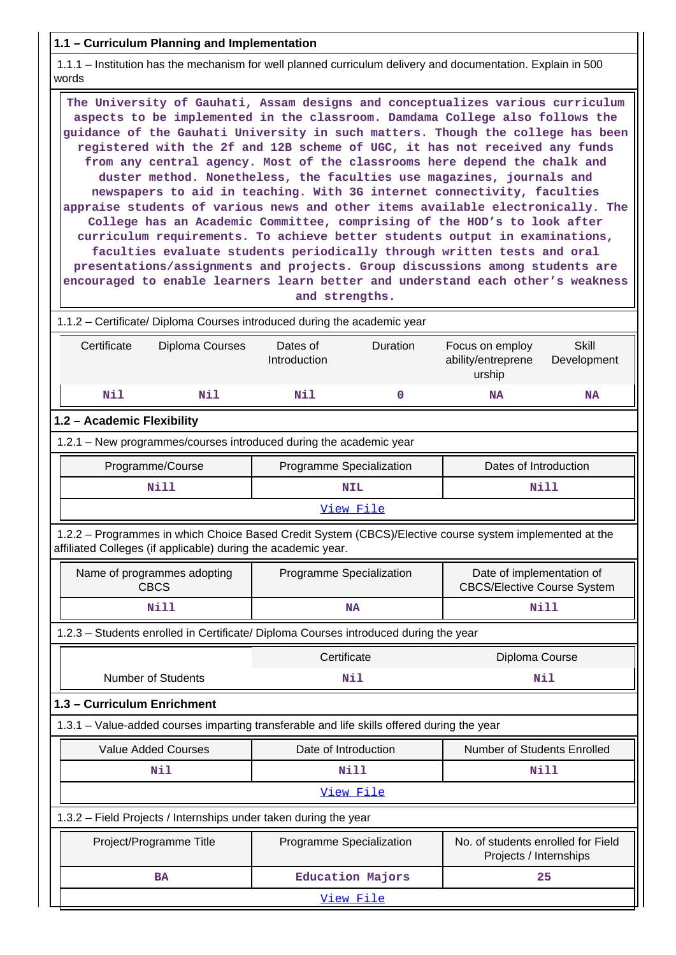### **1.1 – Curriculum Planning and Implementation**

 1.1.1 – Institution has the mechanism for well planned curriculum delivery and documentation. Explain in 500 words

 **The University of Gauhati, Assam designs and conceptualizes various curriculum aspects to be implemented in the classroom. Damdama College also follows the guidance of the Gauhati University in such matters. Though the college has been registered with the 2f and 12B scheme of UGC, it has not received any funds from any central agency. Most of the classrooms here depend the chalk and duster method. Nonetheless, the faculties use magazines, journals and newspapers to aid in teaching. With 3G internet connectivity, faculties appraise students of various news and other items available electronically. The College has an Academic Committee, comprising of the HOD's to look after curriculum requirements. To achieve better students output in examinations, faculties evaluate students periodically through written tests and oral presentations/assignments and projects. Group discussions among students are encouraged to enable learners learn better and understand each other's weakness and strengths.**

 1.1.2 – Certificate/ Diploma Courses introduced during the academic year Certificate Diploma Courses Dates of Introduction Duration Focus on employ ability/entreprene urship **Skill** Development  **Nil Nil Nil 0 NA NA 1.2 – Academic Flexibility** 1.2.1 – New programmes/courses introduced during the academic year Programme/Course **Programme Specialization** Programme Specialization **Programme** Dates of Introduction  **Nill NIL Nill** [View File](https://assessmentonline.naac.gov.in/public/Postacc/Program_introduced/13124_Program_introduced_1629989200.xlsx) 1.2.2 – Programmes in which Choice Based Credit System (CBCS)/Elective course system implemented at the

affiliated Colleges (if applicable) during the academic year.

|      | Name of programmes adopting<br>CBCS                                                                                                                                                                                                                                                                  | Programme Specialization | Date of implementation of<br><b>CBCS/Elective Course System</b> |  |  |
|------|------------------------------------------------------------------------------------------------------------------------------------------------------------------------------------------------------------------------------------------------------------------------------------------------------|--------------------------|-----------------------------------------------------------------|--|--|
| Nill |                                                                                                                                                                                                                                                                                                      | <b>NA</b>                | Nill                                                            |  |  |
|      | $\overline{A}$ and $\overline{A}$ are considered to $\overline{A}$ and $\overline{B}$ are $\overline{A}$ and $\overline{A}$ are considered to the constant $\overline{A}$ and $\overline{A}$ are considered to $\overline{A}$ and $\overline{A}$ are considered to $\overline{A}$ and $\overline{A}$ |                          |                                                                 |  |  |

1.2.3 – Students enrolled in Certificate/ Diploma Courses introduced during the year

|                    | Certificate | Diploma Course |
|--------------------|-------------|----------------|
| Number of Students |             | Ni.            |
|                    |             |                |

## **1.3 – Curriculum Enrichment**

1.3.1 – Value-added courses imparting transferable and life skills offered during the year

| Value Added Courses                                              | Date of Introduction     | <b>Number of Students Enrolled</b>                           |  |  |
|------------------------------------------------------------------|--------------------------|--------------------------------------------------------------|--|--|
| Nill<br>Nil                                                      |                          | Nill                                                         |  |  |
|                                                                  | View File                |                                                              |  |  |
| 1.3.2 – Field Projects / Internships under taken during the year |                          |                                                              |  |  |
| Project/Programme Title                                          | Programme Specialization | No. of students enrolled for Field<br>Projects / Internships |  |  |
| <b>BA</b>                                                        | <b>Education Majors</b>  | 25                                                           |  |  |
| View File                                                        |                          |                                                              |  |  |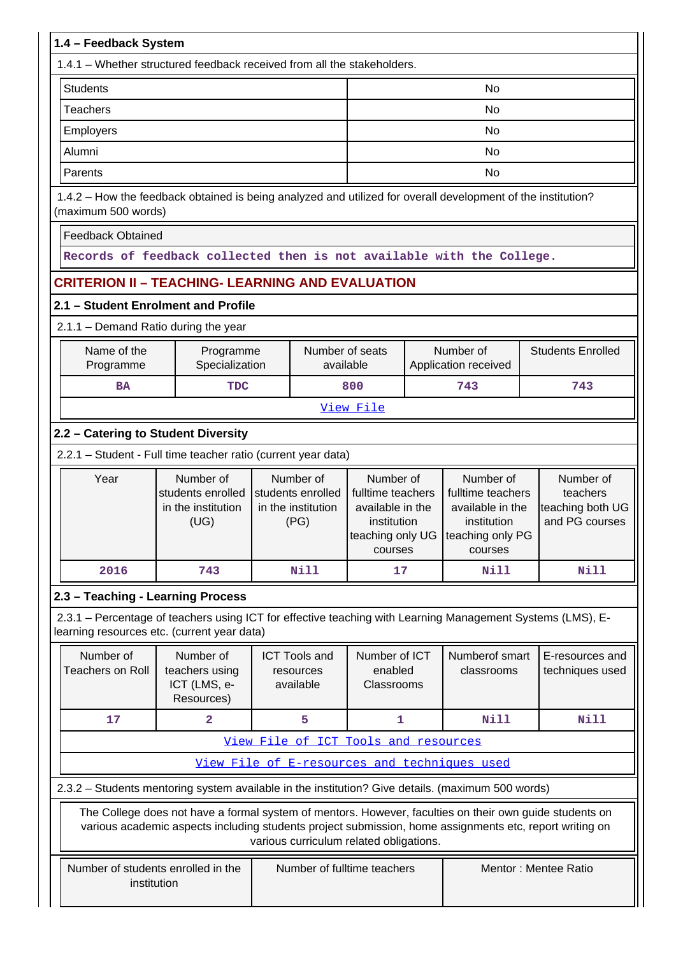| 1.4 - Feedback System                                                                                                                                     |                                                                                                                                                                                                                    |  |                                                              |                                                                                                                   |  |                                                                              |  |                                                             |  |  |
|-----------------------------------------------------------------------------------------------------------------------------------------------------------|--------------------------------------------------------------------------------------------------------------------------------------------------------------------------------------------------------------------|--|--------------------------------------------------------------|-------------------------------------------------------------------------------------------------------------------|--|------------------------------------------------------------------------------|--|-------------------------------------------------------------|--|--|
| 1.4.1 - Whether structured feedback received from all the stakeholders.                                                                                   |                                                                                                                                                                                                                    |  |                                                              |                                                                                                                   |  |                                                                              |  |                                                             |  |  |
| <b>Students</b>                                                                                                                                           |                                                                                                                                                                                                                    |  |                                                              |                                                                                                                   |  | <b>No</b>                                                                    |  |                                                             |  |  |
| <b>Teachers</b>                                                                                                                                           |                                                                                                                                                                                                                    |  |                                                              |                                                                                                                   |  | No                                                                           |  |                                                             |  |  |
| Employers                                                                                                                                                 |                                                                                                                                                                                                                    |  |                                                              |                                                                                                                   |  | <b>No</b>                                                                    |  |                                                             |  |  |
| Alumni                                                                                                                                                    |                                                                                                                                                                                                                    |  |                                                              |                                                                                                                   |  | No                                                                           |  |                                                             |  |  |
| Parents                                                                                                                                                   |                                                                                                                                                                                                                    |  |                                                              |                                                                                                                   |  | No                                                                           |  |                                                             |  |  |
| 1.4.2 - How the feedback obtained is being analyzed and utilized for overall development of the institution?<br>(maximum 500 words)                       |                                                                                                                                                                                                                    |  |                                                              |                                                                                                                   |  |                                                                              |  |                                                             |  |  |
| <b>Feedback Obtained</b>                                                                                                                                  |                                                                                                                                                                                                                    |  |                                                              |                                                                                                                   |  |                                                                              |  |                                                             |  |  |
|                                                                                                                                                           | Records of feedback collected then is not available with the College.                                                                                                                                              |  |                                                              |                                                                                                                   |  |                                                                              |  |                                                             |  |  |
| <b>CRITERION II - TEACHING- LEARNING AND EVALUATION</b>                                                                                                   |                                                                                                                                                                                                                    |  |                                                              |                                                                                                                   |  |                                                                              |  |                                                             |  |  |
| 2.1 - Student Enrolment and Profile                                                                                                                       |                                                                                                                                                                                                                    |  |                                                              |                                                                                                                   |  |                                                                              |  |                                                             |  |  |
| 2.1.1 - Demand Ratio during the year                                                                                                                      |                                                                                                                                                                                                                    |  |                                                              |                                                                                                                   |  |                                                                              |  |                                                             |  |  |
| Name of the<br>Number of seats<br>Number of<br>Programme<br>Specialization<br>Programme<br>available<br>Application received                              |                                                                                                                                                                                                                    |  |                                                              |                                                                                                                   |  |                                                                              |  | <b>Students Enrolled</b>                                    |  |  |
| <b>BA</b>                                                                                                                                                 | <b>TDC</b>                                                                                                                                                                                                         |  |                                                              | 800                                                                                                               |  | 743                                                                          |  | 743                                                         |  |  |
| View File                                                                                                                                                 |                                                                                                                                                                                                                    |  |                                                              |                                                                                                                   |  |                                                                              |  |                                                             |  |  |
| 2.2 - Catering to Student Diversity                                                                                                                       |                                                                                                                                                                                                                    |  |                                                              |                                                                                                                   |  |                                                                              |  |                                                             |  |  |
| 2.2.1 - Student - Full time teacher ratio (current year data)                                                                                             |                                                                                                                                                                                                                    |  |                                                              |                                                                                                                   |  |                                                                              |  |                                                             |  |  |
| Year                                                                                                                                                      | Number of<br>students enrolled<br>in the institution<br>(UG)                                                                                                                                                       |  | Number of<br>students enrolled<br>in the institution<br>(PG) | Number of<br>fulltime teachers<br>available in the<br>institution<br>teaching only UG teaching only PG<br>courses |  | Number of<br>fulltime teachers<br>available in the<br>institution<br>courses |  | Number of<br>teachers<br>teaching both UG<br>and PG courses |  |  |
| 2016                                                                                                                                                      | 743                                                                                                                                                                                                                |  | <b>Nill</b>                                                  | 17                                                                                                                |  | Nill                                                                         |  | Nill                                                        |  |  |
| 2.3 - Teaching - Learning Process                                                                                                                         |                                                                                                                                                                                                                    |  |                                                              |                                                                                                                   |  |                                                                              |  |                                                             |  |  |
| 2.3.1 – Percentage of teachers using ICT for effective teaching with Learning Management Systems (LMS), E-<br>learning resources etc. (current year data) |                                                                                                                                                                                                                    |  |                                                              |                                                                                                                   |  |                                                                              |  |                                                             |  |  |
| Number of<br><b>Teachers on Roll</b>                                                                                                                      | Number of<br>teachers using<br>ICT (LMS, e-<br>Resources)                                                                                                                                                          |  | <b>ICT Tools and</b><br>resources<br>available               | Number of ICT<br>enabled<br>Classrooms                                                                            |  | Numberof smart<br>classrooms                                                 |  | E-resources and<br>techniques used                          |  |  |
| 17                                                                                                                                                        | $\overline{\mathbf{2}}$                                                                                                                                                                                            |  | 5                                                            | 1                                                                                                                 |  | Nill                                                                         |  | <b>Nill</b>                                                 |  |  |
|                                                                                                                                                           |                                                                                                                                                                                                                    |  |                                                              | View File of ICT Tools and resources                                                                              |  |                                                                              |  |                                                             |  |  |
|                                                                                                                                                           |                                                                                                                                                                                                                    |  |                                                              |                                                                                                                   |  | View File of E-resources and techniques used                                 |  |                                                             |  |  |
| 2.3.2 - Students mentoring system available in the institution? Give details. (maximum 500 words)                                                         |                                                                                                                                                                                                                    |  |                                                              |                                                                                                                   |  |                                                                              |  |                                                             |  |  |
|                                                                                                                                                           | The College does not have a formal system of mentors. However, faculties on their own guide students on<br>various academic aspects including students project submission, home assignments etc, report writing on |  |                                                              | various curriculum related obligations.                                                                           |  |                                                                              |  |                                                             |  |  |
| Number of students enrolled in the<br>institution                                                                                                         |                                                                                                                                                                                                                    |  |                                                              | Number of fulltime teachers                                                                                       |  |                                                                              |  | Mentor: Mentee Ratio                                        |  |  |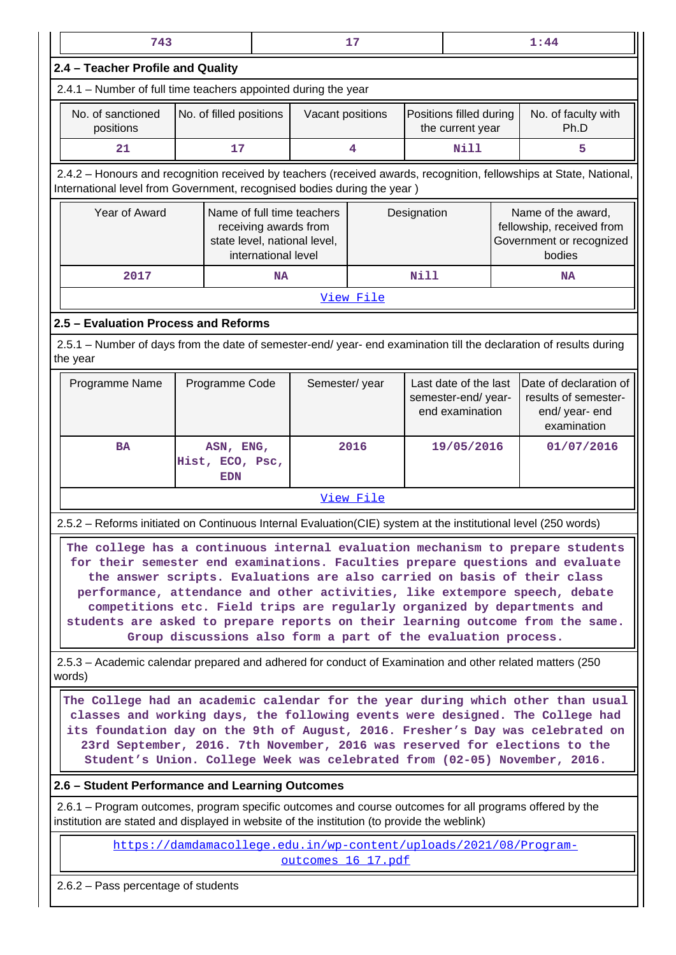| 743                                                                                                                                                                                                                                                                                                                                                                                                                                                                                      |                                                                                                            |    |                    | 17        |                                                                 |                                             |  | 1:44                                                                                  |  |  |
|------------------------------------------------------------------------------------------------------------------------------------------------------------------------------------------------------------------------------------------------------------------------------------------------------------------------------------------------------------------------------------------------------------------------------------------------------------------------------------------|------------------------------------------------------------------------------------------------------------|----|--------------------|-----------|-----------------------------------------------------------------|---------------------------------------------|--|---------------------------------------------------------------------------------------|--|--|
| 2.4 - Teacher Profile and Quality                                                                                                                                                                                                                                                                                                                                                                                                                                                        |                                                                                                            |    |                    |           |                                                                 |                                             |  |                                                                                       |  |  |
| 2.4.1 - Number of full time teachers appointed during the year                                                                                                                                                                                                                                                                                                                                                                                                                           |                                                                                                            |    |                    |           |                                                                 |                                             |  |                                                                                       |  |  |
| No. of sanctioned<br>positions                                                                                                                                                                                                                                                                                                                                                                                                                                                           | No. of filled positions                                                                                    |    | Vacant positions   |           |                                                                 | Positions filled during<br>the current year |  | No. of faculty with<br>Ph.D                                                           |  |  |
| 21                                                                                                                                                                                                                                                                                                                                                                                                                                                                                       | 17                                                                                                         |    |                    | 4         |                                                                 | <b>Nill</b>                                 |  | 5                                                                                     |  |  |
| 2.4.2 - Honours and recognition received by teachers (received awards, recognition, fellowships at State, National,<br>International level from Government, recognised bodies during the year)                                                                                                                                                                                                                                                                                           |                                                                                                            |    |                    |           |                                                                 |                                             |  |                                                                                       |  |  |
| Year of Award                                                                                                                                                                                                                                                                                                                                                                                                                                                                            | Name of full time teachers<br>receiving awards from<br>state level, national level,<br>international level |    |                    |           | Designation                                                     |                                             |  | Name of the award,<br>fellowship, received from<br>Government or recognized<br>bodies |  |  |
| 2017                                                                                                                                                                                                                                                                                                                                                                                                                                                                                     |                                                                                                            | NA |                    |           | Nill                                                            |                                             |  | <b>NA</b>                                                                             |  |  |
| View File                                                                                                                                                                                                                                                                                                                                                                                                                                                                                |                                                                                                            |    |                    |           |                                                                 |                                             |  |                                                                                       |  |  |
| 2.5 - Evaluation Process and Reforms                                                                                                                                                                                                                                                                                                                                                                                                                                                     |                                                                                                            |    |                    |           |                                                                 |                                             |  |                                                                                       |  |  |
| 2.5.1 – Number of days from the date of semester-end/ year- end examination till the declaration of results during<br>the year                                                                                                                                                                                                                                                                                                                                                           |                                                                                                            |    |                    |           |                                                                 |                                             |  |                                                                                       |  |  |
| Programme Name                                                                                                                                                                                                                                                                                                                                                                                                                                                                           | Programme Code                                                                                             |    | Semester/year      |           | Last date of the last<br>semester-end/ year-<br>end examination |                                             |  | Date of declaration of<br>results of semester-<br>end/ year- end<br>examination       |  |  |
| <b>BA</b>                                                                                                                                                                                                                                                                                                                                                                                                                                                                                | ASN, ENG,<br>Hist, ECO, Psc,<br><b>EDN</b>                                                                 |    |                    | 2016      | 19/05/2016                                                      |                                             |  | 01/07/2016                                                                            |  |  |
|                                                                                                                                                                                                                                                                                                                                                                                                                                                                                          |                                                                                                            |    |                    | View File |                                                                 |                                             |  |                                                                                       |  |  |
| 2.5.2 - Reforms initiated on Continuous Internal Evaluation(CIE) system at the institutional level (250 words)                                                                                                                                                                                                                                                                                                                                                                           |                                                                                                            |    |                    |           |                                                                 |                                             |  |                                                                                       |  |  |
| The college has a continuous internal evaluation mechanism to prepare students<br>for their semester end examinations. Faculties prepare questions and evaluate<br>the answer scripts. Evaluations are also carried on basis of their class<br>performance, attendance and other activities, like extempore speech, debate<br>competitions etc. Field trips are regularly organized by departments and<br>students are asked to prepare reports on their learning outcome from the same. | Group discussions also form a part of the evaluation process.                                              |    |                    |           |                                                                 |                                             |  |                                                                                       |  |  |
| 2.5.3 - Academic calendar prepared and adhered for conduct of Examination and other related matters (250<br>words)                                                                                                                                                                                                                                                                                                                                                                       |                                                                                                            |    |                    |           |                                                                 |                                             |  |                                                                                       |  |  |
| The College had an academic calendar for the year during which other than usual<br>classes and working days, the following events were designed. The College had<br>its foundation day on the 9th of August, 2016. Fresher's Day was celebrated on<br>23rd September, 2016. 7th November, 2016 was reserved for elections to the<br>Student's Union. College Week was celebrated from (02-05) November, 2016.                                                                            |                                                                                                            |    |                    |           |                                                                 |                                             |  |                                                                                       |  |  |
| 2.6 - Student Performance and Learning Outcomes                                                                                                                                                                                                                                                                                                                                                                                                                                          |                                                                                                            |    |                    |           |                                                                 |                                             |  |                                                                                       |  |  |
| 2.6.1 – Program outcomes, program specific outcomes and course outcomes for all programs offered by the<br>institution are stated and displayed in website of the institution (to provide the weblink)                                                                                                                                                                                                                                                                                   |                                                                                                            |    |                    |           |                                                                 |                                             |  |                                                                                       |  |  |
|                                                                                                                                                                                                                                                                                                                                                                                                                                                                                          | https://damdamacollege.edu.in/wp-content/uploads/2021/08/Program-                                          |    | outcomes 16 17.pdf |           |                                                                 |                                             |  |                                                                                       |  |  |
| 2.6.2 - Pass percentage of students                                                                                                                                                                                                                                                                                                                                                                                                                                                      |                                                                                                            |    |                    |           |                                                                 |                                             |  |                                                                                       |  |  |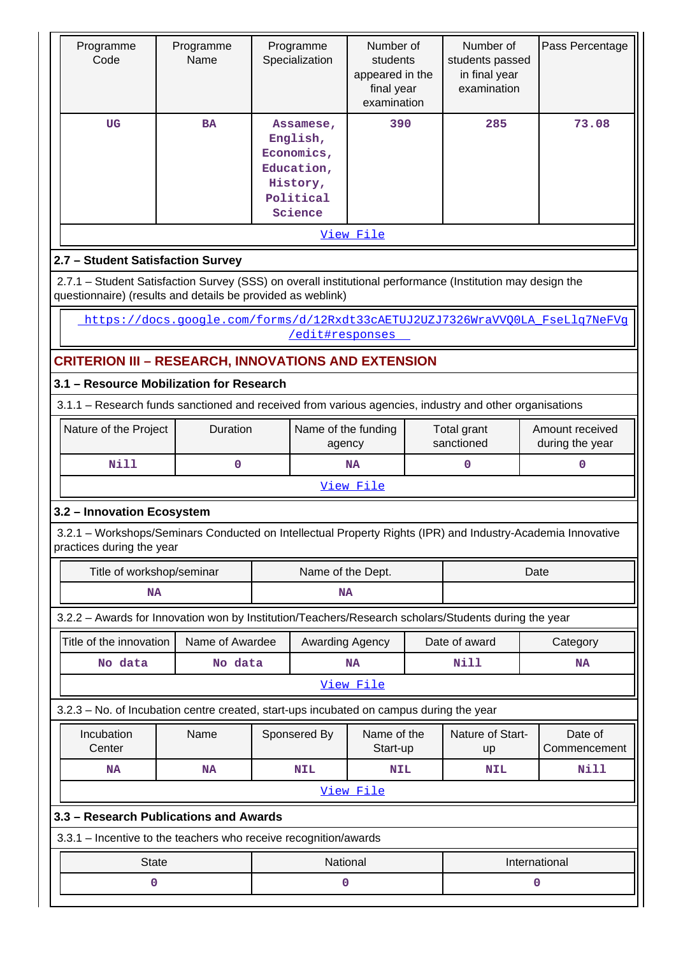| Programme<br>Code                                                                                                                                                         | Programme<br>Name                                                            |                               | Programme<br>Specialization                                                           | Number of<br>students<br>appeared in the<br>final year<br>examination |  | Number of<br>students passed<br>in final year<br>examination |      | Pass Percentage                    |  |  |
|---------------------------------------------------------------------------------------------------------------------------------------------------------------------------|------------------------------------------------------------------------------|-------------------------------|---------------------------------------------------------------------------------------|-----------------------------------------------------------------------|--|--------------------------------------------------------------|------|------------------------------------|--|--|
| <b>UG</b>                                                                                                                                                                 | <b>BA</b>                                                                    |                               | Assamese,<br>English,<br>Economics,<br>Education,<br>History,<br>Political<br>Science | 390                                                                   |  | 285                                                          |      | 73.08                              |  |  |
|                                                                                                                                                                           |                                                                              |                               |                                                                                       | View File                                                             |  |                                                              |      |                                    |  |  |
| 2.7 - Student Satisfaction Survey                                                                                                                                         |                                                                              |                               |                                                                                       |                                                                       |  |                                                              |      |                                    |  |  |
| 2.7.1 - Student Satisfaction Survey (SSS) on overall institutional performance (Institution may design the<br>questionnaire) (results and details be provided as weblink) |                                                                              |                               |                                                                                       |                                                                       |  |                                                              |      |                                    |  |  |
|                                                                                                                                                                           | https://docs.google.com/forms/d/12Rxdt33cAETUJ2UZJ7326WraVVOOLA FseLlg7NeFVg |                               | /edit#responses                                                                       |                                                                       |  |                                                              |      |                                    |  |  |
| <b>CRITERION III - RESEARCH, INNOVATIONS AND EXTENSION</b>                                                                                                                |                                                                              |                               |                                                                                       |                                                                       |  |                                                              |      |                                    |  |  |
| 3.1 - Resource Mobilization for Research                                                                                                                                  |                                                                              |                               |                                                                                       |                                                                       |  |                                                              |      |                                    |  |  |
| 3.1.1 - Research funds sanctioned and received from various agencies, industry and other organisations                                                                    |                                                                              |                               |                                                                                       |                                                                       |  |                                                              |      |                                    |  |  |
| Nature of the Project                                                                                                                                                     | Duration                                                                     | Name of the funding<br>agency |                                                                                       |                                                                       |  | Total grant<br>sanctioned                                    |      | Amount received<br>during the year |  |  |
| <b>Nill</b>                                                                                                                                                               | $\mathbf 0$                                                                  |                               |                                                                                       | <b>NA</b>                                                             |  | 0                                                            |      | 0                                  |  |  |
|                                                                                                                                                                           |                                                                              |                               |                                                                                       | View File                                                             |  |                                                              |      |                                    |  |  |
| 3.2 - Innovation Ecosystem<br>3.2.1 – Workshops/Seminars Conducted on Intellectual Property Rights (IPR) and Industry-Academia Innovative<br>practices during the year    |                                                                              |                               |                                                                                       |                                                                       |  |                                                              |      |                                    |  |  |
| Title of workshop/seminar                                                                                                                                                 |                                                                              |                               | Name of the Dept.                                                                     |                                                                       |  |                                                              | Date |                                    |  |  |
| <b>NA</b>                                                                                                                                                                 |                                                                              |                               | <b>NA</b>                                                                             |                                                                       |  |                                                              |      |                                    |  |  |
| 3.2.2 - Awards for Innovation won by Institution/Teachers/Research scholars/Students during the year                                                                      |                                                                              |                               |                                                                                       |                                                                       |  |                                                              |      |                                    |  |  |
| Title of the innovation                                                                                                                                                   | Name of Awardee                                                              |                               | Awarding Agency                                                                       |                                                                       |  | Date of award                                                |      | Category                           |  |  |
| No data                                                                                                                                                                   | No data                                                                      |                               |                                                                                       | <b>NA</b>                                                             |  | Nill                                                         |      | <b>NA</b>                          |  |  |
|                                                                                                                                                                           |                                                                              |                               |                                                                                       | View File                                                             |  |                                                              |      |                                    |  |  |
| 3.2.3 - No. of Incubation centre created, start-ups incubated on campus during the year                                                                                   |                                                                              |                               |                                                                                       |                                                                       |  |                                                              |      |                                    |  |  |
| Incubation<br>Center                                                                                                                                                      | Name                                                                         |                               | Sponsered By                                                                          | Name of the<br>Start-up                                               |  | Nature of Start-<br>up                                       |      | Date of<br>Commencement            |  |  |
| <b>NA</b>                                                                                                                                                                 | <b>NA</b>                                                                    |                               | <b>NIL</b>                                                                            | <b>NIL</b>                                                            |  | <b>NIL</b>                                                   |      | Nill                               |  |  |
|                                                                                                                                                                           |                                                                              |                               |                                                                                       | View File                                                             |  |                                                              |      |                                    |  |  |
| 3.3 - Research Publications and Awards                                                                                                                                    |                                                                              |                               |                                                                                       |                                                                       |  |                                                              |      |                                    |  |  |
| 3.3.1 - Incentive to the teachers who receive recognition/awards                                                                                                          |                                                                              |                               |                                                                                       |                                                                       |  |                                                              |      |                                    |  |  |
| <b>State</b>                                                                                                                                                              |                                                                              |                               | National                                                                              |                                                                       |  | International                                                |      |                                    |  |  |
| 0                                                                                                                                                                         |                                                                              |                               | 0                                                                                     |                                                                       |  |                                                              | 0    |                                    |  |  |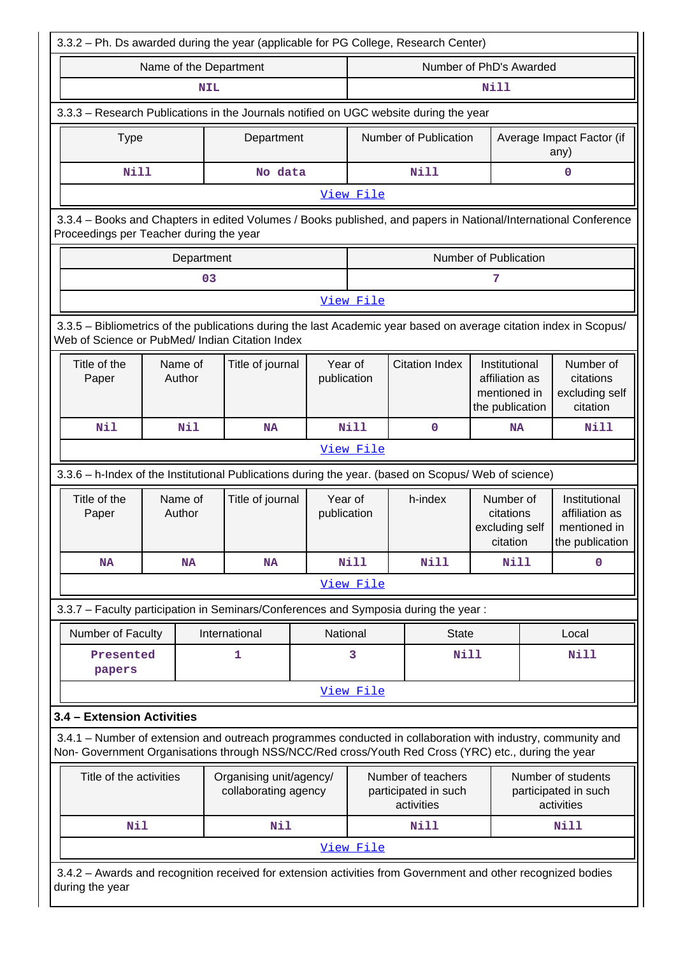| 3.3.2 - Ph. Ds awarded during the year (applicable for PG College, Research Center)                                                                                                                                |                                                                                                                                                                                                    |                        |                  |  |                        |      |                                                                 |                                                                    |                                                      |                                                                    |  |
|--------------------------------------------------------------------------------------------------------------------------------------------------------------------------------------------------------------------|----------------------------------------------------------------------------------------------------------------------------------------------------------------------------------------------------|------------------------|------------------|--|------------------------|------|-----------------------------------------------------------------|--------------------------------------------------------------------|------------------------------------------------------|--------------------------------------------------------------------|--|
|                                                                                                                                                                                                                    |                                                                                                                                                                                                    | Name of the Department |                  |  |                        |      |                                                                 | Number of PhD's Awarded                                            |                                                      |                                                                    |  |
|                                                                                                                                                                                                                    |                                                                                                                                                                                                    | <b>NIL</b>             |                  |  |                        |      |                                                                 | <b>Nill</b>                                                        |                                                      |                                                                    |  |
| 3.3.3 - Research Publications in the Journals notified on UGC website during the year                                                                                                                              |                                                                                                                                                                                                    |                        |                  |  |                        |      |                                                                 |                                                                    |                                                      |                                                                    |  |
| <b>Type</b>                                                                                                                                                                                                        |                                                                                                                                                                                                    |                        | Department       |  |                        |      | Number of Publication                                           |                                                                    |                                                      | Average Impact Factor (if<br>any)                                  |  |
| <b>Nill</b>                                                                                                                                                                                                        |                                                                                                                                                                                                    |                        | No data          |  |                        |      | Nill                                                            |                                                                    |                                                      | 0                                                                  |  |
|                                                                                                                                                                                                                    |                                                                                                                                                                                                    |                        |                  |  | View File              |      |                                                                 |                                                                    |                                                      |                                                                    |  |
| 3.3.4 - Books and Chapters in edited Volumes / Books published, and papers in National/International Conference<br>Proceedings per Teacher during the year                                                         |                                                                                                                                                                                                    |                        |                  |  |                        |      |                                                                 |                                                                    |                                                      |                                                                    |  |
|                                                                                                                                                                                                                    |                                                                                                                                                                                                    | Department             |                  |  |                        |      |                                                                 | Number of Publication                                              |                                                      |                                                                    |  |
|                                                                                                                                                                                                                    |                                                                                                                                                                                                    | 03                     |                  |  |                        |      |                                                                 | 7                                                                  |                                                      |                                                                    |  |
|                                                                                                                                                                                                                    | View File                                                                                                                                                                                          |                        |                  |  |                        |      |                                                                 |                                                                    |                                                      |                                                                    |  |
| 3.3.5 - Bibliometrics of the publications during the last Academic year based on average citation index in Scopus/<br>Web of Science or PubMed/ Indian Citation Index                                              |                                                                                                                                                                                                    |                        |                  |  |                        |      |                                                                 |                                                                    |                                                      |                                                                    |  |
| Title of the<br>Paper                                                                                                                                                                                              |                                                                                                                                                                                                    | Name of<br>Author      | Title of journal |  | Year of<br>publication |      | <b>Citation Index</b>                                           | Institutional<br>affiliation as<br>mentioned in<br>the publication | Number of<br>citations<br>excluding self<br>citation |                                                                    |  |
| <b>Nil</b><br><b>Nill</b><br>Nil<br>0<br><b>NA</b><br><b>NA</b>                                                                                                                                                    |                                                                                                                                                                                                    |                        |                  |  |                        | Nill |                                                                 |                                                                    |                                                      |                                                                    |  |
|                                                                                                                                                                                                                    |                                                                                                                                                                                                    |                        |                  |  | View File              |      |                                                                 |                                                                    |                                                      |                                                                    |  |
| 3.3.6 - h-Index of the Institutional Publications during the year. (based on Scopus/ Web of science)                                                                                                               |                                                                                                                                                                                                    |                        |                  |  |                        |      |                                                                 |                                                                    |                                                      |                                                                    |  |
| Title of the<br>Paper                                                                                                                                                                                              |                                                                                                                                                                                                    | Name of<br>Author      | Title of journal |  | Year of<br>publication |      | h-index<br>Number of<br>citations<br>excluding self<br>citation |                                                                    |                                                      | Institutional<br>affiliation as<br>mentioned in<br>the publication |  |
| <b>NA</b>                                                                                                                                                                                                          |                                                                                                                                                                                                    | NA                     | NA               |  | <b>Nill</b>            |      | Nill                                                            | Nill                                                               |                                                      | $\mathbf{0}$                                                       |  |
|                                                                                                                                                                                                                    |                                                                                                                                                                                                    |                        |                  |  | View File              |      |                                                                 |                                                                    |                                                      |                                                                    |  |
| 3.3.7 - Faculty participation in Seminars/Conferences and Symposia during the year:                                                                                                                                |                                                                                                                                                                                                    |                        |                  |  |                        |      |                                                                 |                                                                    |                                                      |                                                                    |  |
| Number of Faculty                                                                                                                                                                                                  |                                                                                                                                                                                                    |                        | International    |  | National               |      | <b>State</b>                                                    |                                                                    |                                                      | Local                                                              |  |
| Presented<br>papers                                                                                                                                                                                                |                                                                                                                                                                                                    |                        | 1                |  | 3                      |      | <b>Nill</b>                                                     |                                                                    |                                                      | <b>Nill</b>                                                        |  |
|                                                                                                                                                                                                                    |                                                                                                                                                                                                    |                        |                  |  | View File              |      |                                                                 |                                                                    |                                                      |                                                                    |  |
| 3.4 - Extension Activities                                                                                                                                                                                         |                                                                                                                                                                                                    |                        |                  |  |                        |      |                                                                 |                                                                    |                                                      |                                                                    |  |
| 3.4.1 – Number of extension and outreach programmes conducted in collaboration with industry, community and<br>Non- Government Organisations through NSS/NCC/Red cross/Youth Red Cross (YRC) etc., during the year |                                                                                                                                                                                                    |                        |                  |  |                        |      |                                                                 |                                                                    |                                                      |                                                                    |  |
|                                                                                                                                                                                                                    | Title of the activities<br>Organising unit/agency/<br>Number of teachers<br>Number of students<br>collaborating agency<br>participated in such<br>participated in such<br>activities<br>activities |                        |                  |  |                        |      |                                                                 |                                                                    |                                                      |                                                                    |  |
| <b>Nil</b>                                                                                                                                                                                                         |                                                                                                                                                                                                    |                        | Nil              |  |                        |      | Nill                                                            |                                                                    |                                                      | <b>Nill</b>                                                        |  |
|                                                                                                                                                                                                                    |                                                                                                                                                                                                    |                        |                  |  | View File              |      |                                                                 |                                                                    |                                                      |                                                                    |  |
| 3.4.2 - Awards and recognition received for extension activities from Government and other recognized bodies<br>during the year                                                                                    |                                                                                                                                                                                                    |                        |                  |  |                        |      |                                                                 |                                                                    |                                                      |                                                                    |  |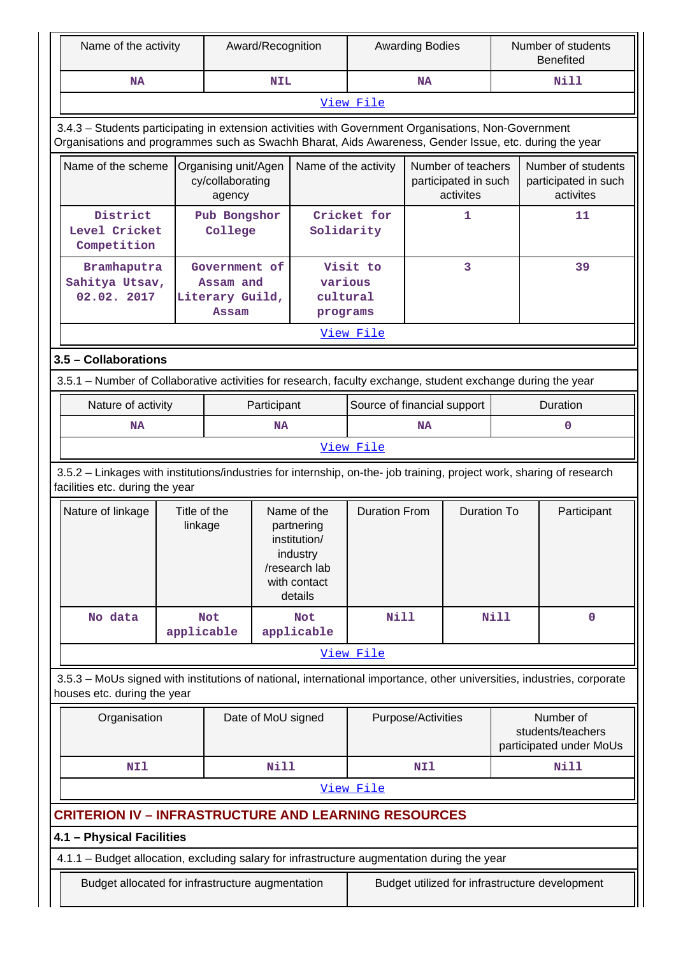| Name of the activity                                                                                                                                                                                           |                                                                                                                                                          |                                                        | Award/Recognition                                                                                 |                                 |                             | <b>Awarding Bodies</b> |                                                         |             | Number of students<br><b>Benefited</b>                    |  |
|----------------------------------------------------------------------------------------------------------------------------------------------------------------------------------------------------------------|----------------------------------------------------------------------------------------------------------------------------------------------------------|--------------------------------------------------------|---------------------------------------------------------------------------------------------------|---------------------------------|-----------------------------|------------------------|---------------------------------------------------------|-------------|-----------------------------------------------------------|--|
| <b>NA</b>                                                                                                                                                                                                      |                                                                                                                                                          |                                                        | <b>NIL</b>                                                                                        |                                 |                             | <b>NA</b>              |                                                         |             | Nill                                                      |  |
|                                                                                                                                                                                                                |                                                                                                                                                          |                                                        |                                                                                                   |                                 | View File                   |                        |                                                         |             |                                                           |  |
| 3.4.3 - Students participating in extension activities with Government Organisations, Non-Government<br>Organisations and programmes such as Swachh Bharat, Aids Awareness, Gender Issue, etc. during the year |                                                                                                                                                          |                                                        |                                                                                                   |                                 |                             |                        |                                                         |             |                                                           |  |
| Name of the scheme                                                                                                                                                                                             |                                                                                                                                                          | Organising unit/Agen<br>cy/collaborating<br>agency     |                                                                                                   | Name of the activity            |                             |                        | Number of teachers<br>participated in such<br>activites |             | Number of students<br>participated in such<br>activites   |  |
| District<br>Level Cricket<br>Competition                                                                                                                                                                       |                                                                                                                                                          | Pub Bongshor<br>College                                |                                                                                                   | Solidarity                      | Cricket for                 |                        | $\mathbf{1}$                                            |             | 11                                                        |  |
| Bramhaputra<br>Sahitya Utsav,<br>02.02. 2017                                                                                                                                                                   |                                                                                                                                                          | Government of<br>Assam and<br>Literary Guild,<br>Assam |                                                                                                   | various<br>cultural<br>programs | Visit to                    |                        | 3                                                       |             | 39                                                        |  |
|                                                                                                                                                                                                                |                                                                                                                                                          |                                                        |                                                                                                   |                                 | View File                   |                        |                                                         |             |                                                           |  |
| 3.5 - Collaborations                                                                                                                                                                                           |                                                                                                                                                          |                                                        |                                                                                                   |                                 |                             |                        |                                                         |             |                                                           |  |
| 3.5.1 – Number of Collaborative activities for research, faculty exchange, student exchange during the year                                                                                                    |                                                                                                                                                          |                                                        |                                                                                                   |                                 |                             |                        |                                                         |             |                                                           |  |
| Nature of activity                                                                                                                                                                                             |                                                                                                                                                          |                                                        | Participant                                                                                       |                                 | Source of financial support |                        |                                                         |             | Duration                                                  |  |
| NA<br><b>NA</b>                                                                                                                                                                                                |                                                                                                                                                          |                                                        |                                                                                                   | <b>NA</b>                       |                             |                        |                                                         | 0           |                                                           |  |
| View File                                                                                                                                                                                                      |                                                                                                                                                          |                                                        |                                                                                                   |                                 |                             |                        |                                                         |             |                                                           |  |
|                                                                                                                                                                                                                | 3.5.2 - Linkages with institutions/industries for internship, on-the- job training, project work, sharing of research<br>facilities etc. during the year |                                                        |                                                                                                   |                                 |                             |                        |                                                         |             |                                                           |  |
| Nature of linkage                                                                                                                                                                                              | Title of the<br>linkage                                                                                                                                  |                                                        | Name of the<br>partnering<br>institution/<br>industry<br>/research lab<br>with contact<br>details |                                 | <b>Duration From</b>        |                        | <b>Duration To</b>                                      |             | Participant                                               |  |
| No data                                                                                                                                                                                                        | applicable                                                                                                                                               | <b>Not</b>                                             |                                                                                                   | <b>Not</b><br>applicable        | <b>Nill</b>                 |                        |                                                         | <b>Nill</b> | $\mathbf 0$                                               |  |
|                                                                                                                                                                                                                |                                                                                                                                                          |                                                        |                                                                                                   |                                 | View File                   |                        |                                                         |             |                                                           |  |
| 3.5.3 - MoUs signed with institutions of national, international importance, other universities, industries, corporate<br>houses etc. during the year                                                          |                                                                                                                                                          |                                                        |                                                                                                   |                                 |                             |                        |                                                         |             |                                                           |  |
| Organisation                                                                                                                                                                                                   |                                                                                                                                                          |                                                        | Date of MoU signed                                                                                |                                 |                             | Purpose/Activities     |                                                         |             | Number of<br>students/teachers<br>participated under MoUs |  |
| <b>Nill</b><br>NI1                                                                                                                                                                                             |                                                                                                                                                          |                                                        |                                                                                                   |                                 |                             | NI1                    |                                                         |             | Nill                                                      |  |
|                                                                                                                                                                                                                | View File                                                                                                                                                |                                                        |                                                                                                   |                                 |                             |                        |                                                         |             |                                                           |  |
| <b>CRITERION IV - INFRASTRUCTURE AND LEARNING RESOURCES</b>                                                                                                                                                    |                                                                                                                                                          |                                                        |                                                                                                   |                                 |                             |                        |                                                         |             |                                                           |  |
| 4.1 - Physical Facilities                                                                                                                                                                                      |                                                                                                                                                          |                                                        |                                                                                                   |                                 |                             |                        |                                                         |             |                                                           |  |
| 4.1.1 - Budget allocation, excluding salary for infrastructure augmentation during the year                                                                                                                    |                                                                                                                                                          |                                                        |                                                                                                   |                                 |                             |                        |                                                         |             |                                                           |  |
| Budget allocated for infrastructure augmentation                                                                                                                                                               |                                                                                                                                                          |                                                        |                                                                                                   |                                 |                             |                        |                                                         |             | Budget utilized for infrastructure development            |  |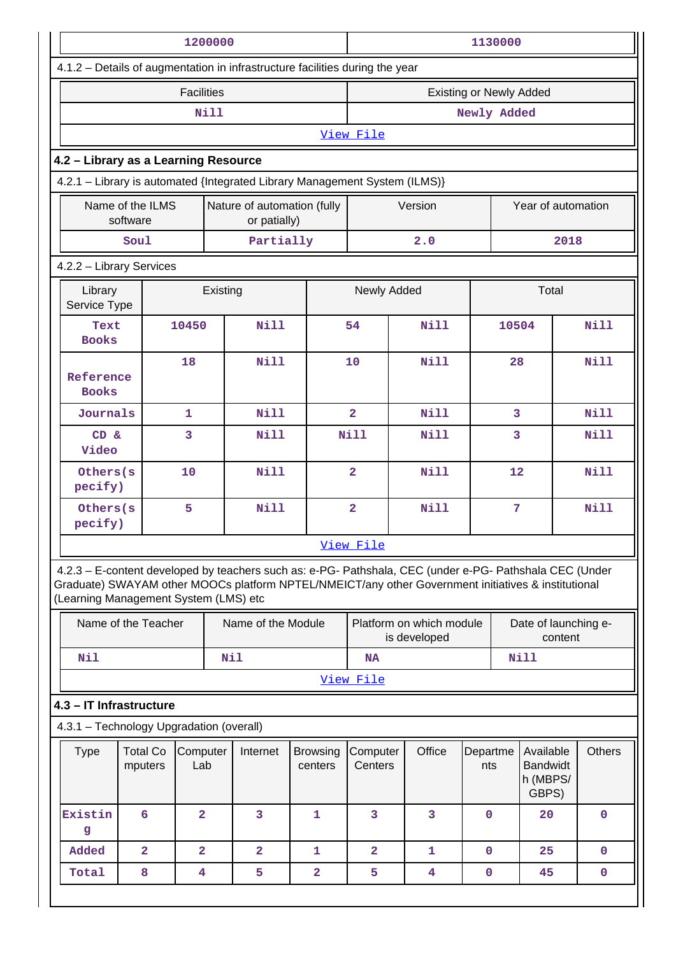|                                                                                                                                              |                                                             |                         | 1200000    |                    |                                             | 1130000                 |                                                                                                         |             |                                                                      |                                |               |  |  |
|----------------------------------------------------------------------------------------------------------------------------------------------|-------------------------------------------------------------|-------------------------|------------|--------------------|---------------------------------------------|-------------------------|---------------------------------------------------------------------------------------------------------|-------------|----------------------------------------------------------------------|--------------------------------|---------------|--|--|
| 4.1.2 - Details of augmentation in infrastructure facilities during the year                                                                 |                                                             |                         |            |                    |                                             |                         |                                                                                                         |             |                                                                      |                                |               |  |  |
|                                                                                                                                              |                                                             | <b>Facilities</b>       |            |                    |                                             |                         |                                                                                                         |             |                                                                      | <b>Existing or Newly Added</b> |               |  |  |
|                                                                                                                                              |                                                             |                         | Nill       |                    |                                             | Newly Added             |                                                                                                         |             |                                                                      |                                |               |  |  |
|                                                                                                                                              |                                                             |                         |            |                    |                                             | View File               |                                                                                                         |             |                                                                      |                                |               |  |  |
| 4.2 - Library as a Learning Resource                                                                                                         |                                                             |                         |            |                    |                                             |                         |                                                                                                         |             |                                                                      |                                |               |  |  |
| 4.2.1 - Library is automated {Integrated Library Management System (ILMS)}                                                                   |                                                             |                         |            |                    |                                             |                         |                                                                                                         |             |                                                                      |                                |               |  |  |
|                                                                                                                                              | Name of the ILMS<br>software                                |                         |            |                    | Nature of automation (fully<br>or patially) | Version                 |                                                                                                         |             |                                                                      | Year of automation             |               |  |  |
|                                                                                                                                              | Soul                                                        |                         |            | Partially          |                                             |                         | 2.0                                                                                                     |             |                                                                      | 2018                           |               |  |  |
|                                                                                                                                              | 4.2.2 - Library Services                                    |                         |            |                    |                                             |                         |                                                                                                         |             |                                                                      |                                |               |  |  |
|                                                                                                                                              | Newly Added<br>Total<br>Library<br>Existing<br>Service Type |                         |            |                    |                                             |                         |                                                                                                         |             |                                                                      |                                |               |  |  |
| Text<br><b>Books</b>                                                                                                                         |                                                             | 10450                   |            | <b>Nill</b>        |                                             | 54                      | Nill                                                                                                    |             | 10504                                                                |                                | <b>Nill</b>   |  |  |
|                                                                                                                                              | 18<br>Reference<br><b>Books</b>                             |                         |            | <b>Nill</b>        |                                             | 10                      | Nill                                                                                                    |             | 28                                                                   |                                | <b>Nill</b>   |  |  |
| $\mathbf{1}$<br>Journals                                                                                                                     |                                                             |                         |            | <b>Nill</b>        |                                             | $\overline{2}$          | Nill                                                                                                    |             | 3                                                                    |                                | <b>Nill</b>   |  |  |
| CD &<br>Video                                                                                                                                |                                                             | 3                       |            | <b>Nill</b>        |                                             | <b>Nill</b>             | <b>Nill</b>                                                                                             |             |                                                                      | 3                              | <b>Nill</b>   |  |  |
| Others(s<br>pecify)                                                                                                                          |                                                             | 10                      |            | <b>Nill</b>        |                                             | $\overline{\mathbf{2}}$ | Nill                                                                                                    |             | 12                                                                   |                                | <b>Nill</b>   |  |  |
| Others(s<br>pecify)                                                                                                                          |                                                             | 5                       |            | <b>Nill</b>        |                                             | $\overline{\mathbf{2}}$ | Nill                                                                                                    |             | $\overline{7}$                                                       |                                | <b>Nill</b>   |  |  |
|                                                                                                                                              |                                                             |                         |            |                    |                                             | View File               |                                                                                                         |             |                                                                      |                                |               |  |  |
| Graduate) SWAYAM other MOOCs platform NPTEL/NMEICT/any other Government initiatives & institutional<br>(Learning Management System (LMS) etc |                                                             |                         |            |                    |                                             |                         | 4.2.3 - E-content developed by teachers such as: e-PG- Pathshala, CEC (under e-PG- Pathshala CEC (Under |             |                                                                      |                                |               |  |  |
|                                                                                                                                              | Name of the Teacher                                         |                         |            | Name of the Module |                                             |                         | Platform on which module<br>is developed                                                                |             | Date of launching e-<br>content                                      |                                |               |  |  |
| Nil                                                                                                                                          |                                                             |                         | <b>Nil</b> |                    |                                             | <b>NA</b>               |                                                                                                         |             |                                                                      | Nill                           |               |  |  |
|                                                                                                                                              |                                                             |                         |            |                    |                                             | View File               |                                                                                                         |             |                                                                      |                                |               |  |  |
| 4.3 - IT Infrastructure                                                                                                                      |                                                             |                         |            |                    |                                             |                         |                                                                                                         |             |                                                                      |                                |               |  |  |
| 4.3.1 - Technology Upgradation (overall)                                                                                                     |                                                             |                         |            |                    |                                             |                         |                                                                                                         |             |                                                                      |                                |               |  |  |
| <b>Type</b>                                                                                                                                  | <b>Total Co</b><br>mputers                                  | Computer<br>Lab         |            | Internet           | <b>Browsing</b><br>centers                  | Computer<br>Centers     | Office                                                                                                  |             | Available<br>Departme<br><b>Bandwidt</b><br>nts<br>h (MBPS/<br>GBPS) |                                | <b>Others</b> |  |  |
| Existin<br>g                                                                                                                                 | 6                                                           | $\overline{2}$          |            | 3                  | $\mathbf{1}$                                | 3                       | 3                                                                                                       | $\mathbf 0$ |                                                                      | 20                             | $\mathbf 0$   |  |  |
| Added                                                                                                                                        | $\overline{a}$                                              | $\overline{\mathbf{2}}$ |            | $\overline{a}$     | 1                                           | $\overline{\mathbf{2}}$ | 1                                                                                                       | $\mathbf 0$ |                                                                      | 25                             | 0             |  |  |
| Total                                                                                                                                        | 8                                                           | 4                       |            | 5                  | 2                                           | 5                       | 4                                                                                                       | $\mathbf 0$ |                                                                      | 45                             | 0             |  |  |
|                                                                                                                                              |                                                             |                         |            |                    |                                             |                         |                                                                                                         |             |                                                                      |                                |               |  |  |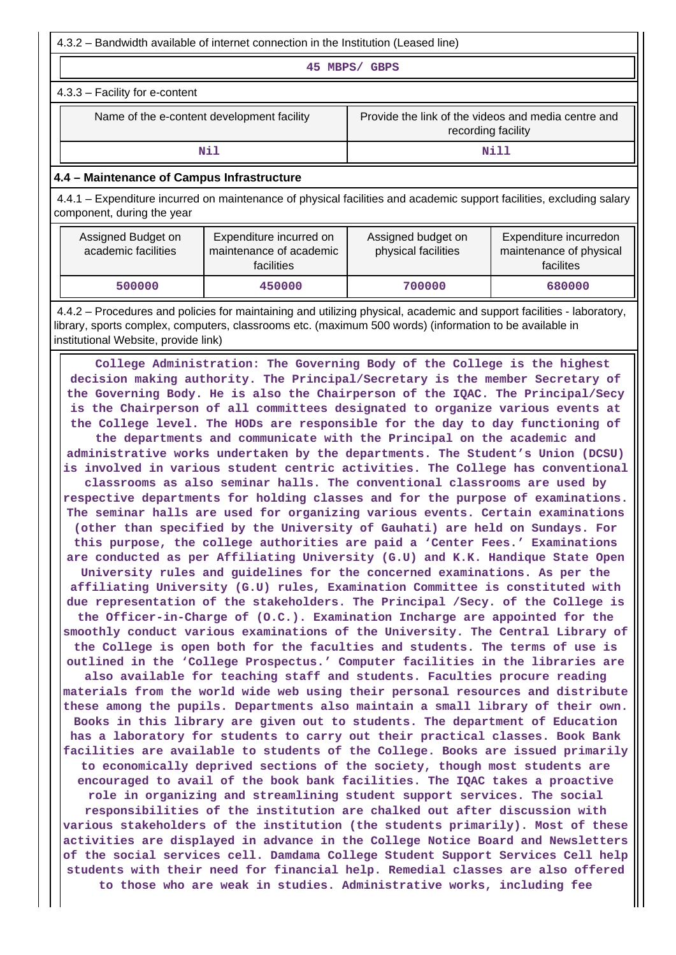4.3.2 – Bandwidth available of internet connection in the Institution (Leased line)

**45 MBPS/ GBPS**

4.3.3 – Facility for e-content

Name of the e-content development facility Frovide the link of the videos and media centre and recording facility

**Nill** Nill

### **4.4 – Maintenance of Campus Infrastructure**

 4.4.1 – Expenditure incurred on maintenance of physical facilities and academic support facilities, excluding salary component, during the year

| Assigned Budget on<br>academic facilities | Expenditure incurred on<br>maintenance of academic<br>facilities | Assigned budget on<br>physical facilities | Expenditure incurredon<br>maintenance of physical<br>facilites |
|-------------------------------------------|------------------------------------------------------------------|-------------------------------------------|----------------------------------------------------------------|
| 500000                                    | 450000                                                           | 700000                                    | 680000                                                         |

 4.4.2 – Procedures and policies for maintaining and utilizing physical, academic and support facilities - laboratory, library, sports complex, computers, classrooms etc. (maximum 500 words) (information to be available in institutional Website, provide link)

 **College Administration: The Governing Body of the College is the highest decision making authority. The Principal/Secretary is the member Secretary of the Governing Body. He is also the Chairperson of the IQAC. The Principal/Secy is the Chairperson of all committees designated to organize various events at the College level. The HODs are responsible for the day to day functioning of the departments and communicate with the Principal on the academic and administrative works undertaken by the departments. The Student's Union (DCSU) is involved in various student centric activities. The College has conventional classrooms as also seminar halls. The conventional classrooms are used by respective departments for holding classes and for the purpose of examinations. The seminar halls are used for organizing various events. Certain examinations (other than specified by the University of Gauhati) are held on Sundays. For this purpose, the college authorities are paid a 'Center Fees.' Examinations are conducted as per Affiliating University (G.U) and K.K. Handique State Open University rules and guidelines for the concerned examinations. As per the affiliating University (G.U) rules, Examination Committee is constituted with due representation of the stakeholders. The Principal /Secy. of the College is the Officer-in-Charge of (O.C.). Examination Incharge are appointed for the smoothly conduct various examinations of the University. The Central Library of the College is open both for the faculties and students. The terms of use is outlined in the 'College Prospectus.' Computer facilities in the libraries are also available for teaching staff and students. Faculties procure reading materials from the world wide web using their personal resources and distribute these among the pupils. Departments also maintain a small library of their own. Books in this library are given out to students. The department of Education has a laboratory for students to carry out their practical classes. Book Bank facilities are available to students of the College. Books are issued primarily to economically deprived sections of the society, though most students are encouraged to avail of the book bank facilities. The IQAC takes a proactive role in organizing and streamlining student support services. The social responsibilities of the institution are chalked out after discussion with various stakeholders of the institution (the students primarily). Most of these activities are displayed in advance in the College Notice Board and Newsletters of the social services cell. Damdama College Student Support Services Cell help students with their need for financial help. Remedial classes are also offered to those who are weak in studies. Administrative works, including fee**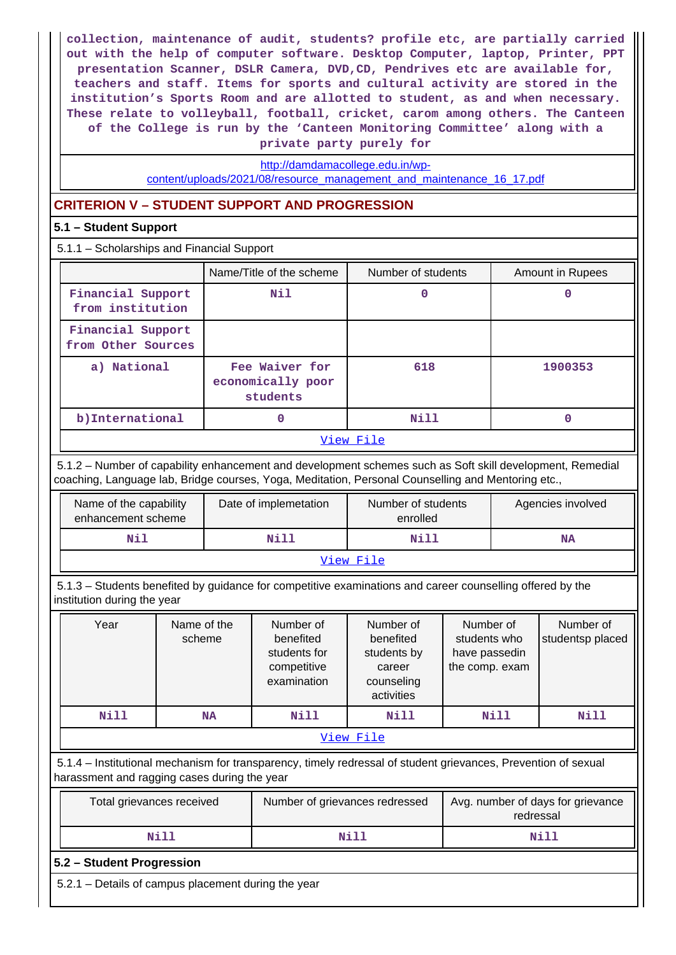**collection, maintenance of audit, students? profile etc, are partially carried out with the help of computer software. Desktop Computer, laptop, Printer, PPT presentation Scanner, DSLR Camera, DVD,CD, Pendrives etc are available for, teachers and staff. Items for sports and cultural activity are stored in the institution's Sports Room and are allotted to student, as and when necessary. These relate to volleyball, football, cricket, carom among others. The Canteen of the College is run by the 'Canteen Monitoring Committee' along with a private party purely for**

[http://damdamacollege.edu.in/wp-](http://damdamacollege.edu.in/wp-content/uploads/2021/08/resource_management_and_maintenance_16_17.pdf)

[content/uploads/2021/08/resource\\_management\\_and\\_maintenance\\_16\\_17.pdf](http://damdamacollege.edu.in/wp-content/uploads/2021/08/resource_management_and_maintenance_16_17.pdf)

## **CRITERION V – STUDENT SUPPORT AND PROGRESSION**

## **5.1 – Student Support**

5.1.1 – Scholarships and Financial Support

|                                         | Name/Title of the scheme                        | Number of students | Amount in Rupees |
|-----------------------------------------|-------------------------------------------------|--------------------|------------------|
| Financial Support<br>from institution   | Nil                                             | 0                  |                  |
| Financial Support<br>from Other Sources |                                                 |                    |                  |
| a) National                             | Fee Waiver for<br>economically poor<br>students | 618                | 1900353          |
| b) International                        | O                                               | Nill               |                  |
|                                         |                                                 | ママキ マー・マー アープ・コール  |                  |

### [View File](https://assessmentonline.naac.gov.in/public/Postacc/Scholarships/13124_Scholarships_1631705515.xlsx)

 5.1.2 – Number of capability enhancement and development schemes such as Soft skill development, Remedial coaching, Language lab, Bridge courses, Yoga, Meditation, Personal Counselling and Mentoring etc.,

| Name of the capability<br>enhancement scheme | Date of implemetation | Number of students<br>enrolled | Agencies involved |  |  |  |  |  |
|----------------------------------------------|-----------------------|--------------------------------|-------------------|--|--|--|--|--|
| Nil                                          | Nill                  | Nill                           | <b>NA</b>         |  |  |  |  |  |
| View File                                    |                       |                                |                   |  |  |  |  |  |

 5.1.3 – Students benefited by guidance for competitive examinations and career counselling offered by the institution during the year

| Year      | Name of the<br>scheme | Number of<br>benefited<br>students for<br>competitive<br>examination | Number of<br>benefited<br>students by<br>career<br>counseling<br>activities | Number of<br>students who<br>have passedin<br>the comp. exam | Number of<br>studentsp placed |  |  |  |  |  |  |
|-----------|-----------------------|----------------------------------------------------------------------|-----------------------------------------------------------------------------|--------------------------------------------------------------|-------------------------------|--|--|--|--|--|--|
| Nill      | <b>NA</b>             | Nill<br>Nill                                                         |                                                                             | Nill                                                         | Nill                          |  |  |  |  |  |  |
| View File |                       |                                                                      |                                                                             |                                                              |                               |  |  |  |  |  |  |

 5.1.4 – Institutional mechanism for transparency, timely redressal of student grievances, Prevention of sexual harassment and ragging cases during the year

| Total grievances received | Number of grievances redressed | Avg. number of days for grievance<br>redressal |
|---------------------------|--------------------------------|------------------------------------------------|
| Nill                      | Nill                           | Nill                                           |

### **5.2 – Student Progression**

5.2.1 – Details of campus placement during the year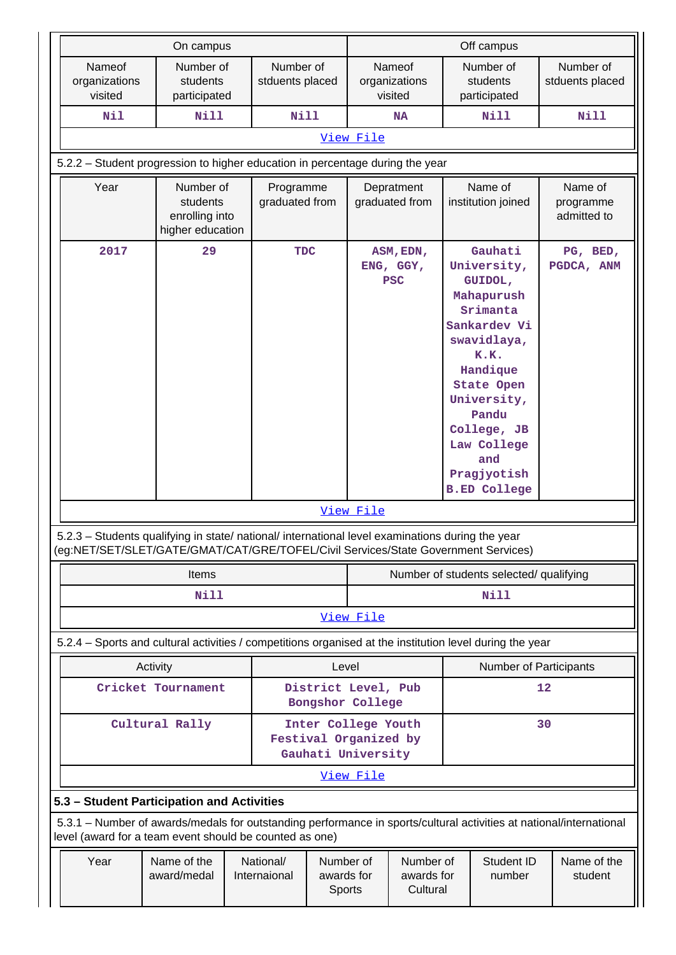|                                                                                                                                                                                | On campus                                                   |                              |                                                                    |           |                                           | Off campus                                                                                                                                                                                                                             |                                     |
|--------------------------------------------------------------------------------------------------------------------------------------------------------------------------------|-------------------------------------------------------------|------------------------------|--------------------------------------------------------------------|-----------|-------------------------------------------|----------------------------------------------------------------------------------------------------------------------------------------------------------------------------------------------------------------------------------------|-------------------------------------|
| Nameof<br>organizations<br>visited                                                                                                                                             | Number of<br>students<br>participated                       | Number of<br>stduents placed |                                                                    |           | <b>Nameof</b><br>organizations<br>visited | Number of<br>students<br>participated                                                                                                                                                                                                  | Number of<br>stduents placed        |
| Nil                                                                                                                                                                            | <b>Nill</b>                                                 | <b>Nill</b>                  |                                                                    |           | <b>NA</b>                                 | <b>Nill</b>                                                                                                                                                                                                                            | <b>Nill</b>                         |
|                                                                                                                                                                                |                                                             |                              |                                                                    | View File |                                           |                                                                                                                                                                                                                                        |                                     |
| 5.2.2 - Student progression to higher education in percentage during the year                                                                                                  |                                                             |                              |                                                                    |           |                                           |                                                                                                                                                                                                                                        |                                     |
| Year                                                                                                                                                                           | Number of<br>students<br>enrolling into<br>higher education | Programme<br>graduated from  |                                                                    |           | Depratment<br>graduated from              | Name of<br>institution joined                                                                                                                                                                                                          | Name of<br>programme<br>admitted to |
| 2017<br>5.2.3 - Students qualifying in state/ national/ international level examinations during the year                                                                       | 29                                                          | <b>TDC</b>                   |                                                                    | View File | ASM, EDN,<br>ENG, GGY,<br><b>PSC</b>      | Gauhati<br>University,<br>GUIDOL,<br>Mahapurush<br>Srimanta<br>Sankardev Vi<br>swavidlaya,<br>K.K.<br>Handique<br><b>State Open</b><br>University,<br>Pandu<br>College, JB<br>Law College<br>and<br>Pragjyotish<br><b>B.ED College</b> | PG, BED,<br>PGDCA, ANM              |
| (eg:NET/SET/SLET/GATE/GMAT/CAT/GRE/TOFEL/Civil Services/State Government Services)                                                                                             |                                                             |                              |                                                                    |           |                                           |                                                                                                                                                                                                                                        |                                     |
|                                                                                                                                                                                | <b>Items</b><br>Nill                                        |                              |                                                                    |           |                                           | Number of students selected/ qualifying<br>Nill                                                                                                                                                                                        |                                     |
|                                                                                                                                                                                |                                                             |                              |                                                                    | View File |                                           |                                                                                                                                                                                                                                        |                                     |
| 5.2.4 - Sports and cultural activities / competitions organised at the institution level during the year                                                                       |                                                             |                              |                                                                    |           |                                           |                                                                                                                                                                                                                                        |                                     |
|                                                                                                                                                                                | Activity                                                    |                              | Level                                                              |           |                                           | Number of Participants                                                                                                                                                                                                                 |                                     |
|                                                                                                                                                                                | Cricket Tournament                                          |                              | District Level, Pub<br>Bongshor College                            |           |                                           |                                                                                                                                                                                                                                        | 12                                  |
|                                                                                                                                                                                | Cultural Rally                                              |                              | Inter College Youth<br>Festival Organized by<br>Gauhati University |           |                                           |                                                                                                                                                                                                                                        | 30                                  |
|                                                                                                                                                                                |                                                             |                              |                                                                    | View File |                                           |                                                                                                                                                                                                                                        |                                     |
| 5.3 - Student Participation and Activities                                                                                                                                     |                                                             |                              |                                                                    |           |                                           |                                                                                                                                                                                                                                        |                                     |
| 5.3.1 – Number of awards/medals for outstanding performance in sports/cultural activities at national/international<br>level (award for a team event should be counted as one) |                                                             |                              |                                                                    |           |                                           |                                                                                                                                                                                                                                        |                                     |
| Year                                                                                                                                                                           | Name of the<br>award/medal                                  | National/<br>Internaional    | Number of<br>awards for<br>Sports                                  |           | Number of<br>awards for<br>Cultural       | Student ID<br>number                                                                                                                                                                                                                   | Name of the<br>student              |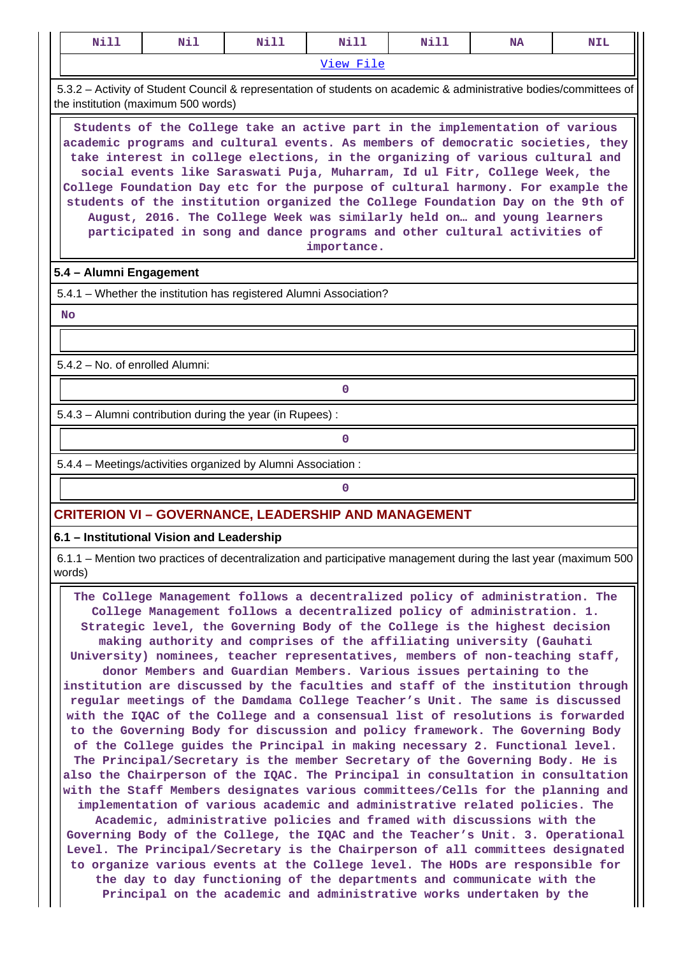| <b>NA</b><br><b>NIL</b><br>View File<br>the institution (maximum 500 words)<br>Students of the College take an active part in the implementation of various<br>academic programs and cultural events. As members of democratic societies, they<br>take interest in college elections, in the organizing of various cultural and<br>social events like Saraswati Puja, Muharram, Id ul Fitr, College Week, the<br>College Foundation Day etc for the purpose of cultural harmony. For example the<br>students of the institution organized the College Foundation Day on the 9th of<br>August, 2016. The College Week was similarly held on and young learners<br>participated in song and dance programs and other cultural activities of<br>importance.<br>5.4 - Alumni Engagement<br>5.4.1 - Whether the institution has registered Alumni Association?<br><b>No</b><br>5.4.2 - No. of enrolled Alumni:<br>$\mathbf 0$<br>5.4.3 - Alumni contribution during the year (in Rupees):<br>$\Omega$<br>5.4.4 - Meetings/activities organized by Alumni Association:<br>$\Omega$ |                                                                                                                    |     |      |      |      |  |  |  |  |  |  |
|------------------------------------------------------------------------------------------------------------------------------------------------------------------------------------------------------------------------------------------------------------------------------------------------------------------------------------------------------------------------------------------------------------------------------------------------------------------------------------------------------------------------------------------------------------------------------------------------------------------------------------------------------------------------------------------------------------------------------------------------------------------------------------------------------------------------------------------------------------------------------------------------------------------------------------------------------------------------------------------------------------------------------------------------------------------------------|--------------------------------------------------------------------------------------------------------------------|-----|------|------|------|--|--|--|--|--|--|
|                                                                                                                                                                                                                                                                                                                                                                                                                                                                                                                                                                                                                                                                                                                                                                                                                                                                                                                                                                                                                                                                              | Nill                                                                                                               | Nil | Nill | Nill | Nill |  |  |  |  |  |  |
|                                                                                                                                                                                                                                                                                                                                                                                                                                                                                                                                                                                                                                                                                                                                                                                                                                                                                                                                                                                                                                                                              |                                                                                                                    |     |      |      |      |  |  |  |  |  |  |
|                                                                                                                                                                                                                                                                                                                                                                                                                                                                                                                                                                                                                                                                                                                                                                                                                                                                                                                                                                                                                                                                              | 5.3.2 - Activity of Student Council & representation of students on academic & administrative bodies/committees of |     |      |      |      |  |  |  |  |  |  |
|                                                                                                                                                                                                                                                                                                                                                                                                                                                                                                                                                                                                                                                                                                                                                                                                                                                                                                                                                                                                                                                                              |                                                                                                                    |     |      |      |      |  |  |  |  |  |  |
|                                                                                                                                                                                                                                                                                                                                                                                                                                                                                                                                                                                                                                                                                                                                                                                                                                                                                                                                                                                                                                                                              |                                                                                                                    |     |      |      |      |  |  |  |  |  |  |
|                                                                                                                                                                                                                                                                                                                                                                                                                                                                                                                                                                                                                                                                                                                                                                                                                                                                                                                                                                                                                                                                              |                                                                                                                    |     |      |      |      |  |  |  |  |  |  |
|                                                                                                                                                                                                                                                                                                                                                                                                                                                                                                                                                                                                                                                                                                                                                                                                                                                                                                                                                                                                                                                                              |                                                                                                                    |     |      |      |      |  |  |  |  |  |  |
|                                                                                                                                                                                                                                                                                                                                                                                                                                                                                                                                                                                                                                                                                                                                                                                                                                                                                                                                                                                                                                                                              |                                                                                                                    |     |      |      |      |  |  |  |  |  |  |
|                                                                                                                                                                                                                                                                                                                                                                                                                                                                                                                                                                                                                                                                                                                                                                                                                                                                                                                                                                                                                                                                              |                                                                                                                    |     |      |      |      |  |  |  |  |  |  |
|                                                                                                                                                                                                                                                                                                                                                                                                                                                                                                                                                                                                                                                                                                                                                                                                                                                                                                                                                                                                                                                                              |                                                                                                                    |     |      |      |      |  |  |  |  |  |  |
|                                                                                                                                                                                                                                                                                                                                                                                                                                                                                                                                                                                                                                                                                                                                                                                                                                                                                                                                                                                                                                                                              |                                                                                                                    |     |      |      |      |  |  |  |  |  |  |
|                                                                                                                                                                                                                                                                                                                                                                                                                                                                                                                                                                                                                                                                                                                                                                                                                                                                                                                                                                                                                                                                              |                                                                                                                    |     |      |      |      |  |  |  |  |  |  |
|                                                                                                                                                                                                                                                                                                                                                                                                                                                                                                                                                                                                                                                                                                                                                                                                                                                                                                                                                                                                                                                                              |                                                                                                                    |     |      |      |      |  |  |  |  |  |  |
|                                                                                                                                                                                                                                                                                                                                                                                                                                                                                                                                                                                                                                                                                                                                                                                                                                                                                                                                                                                                                                                                              |                                                                                                                    |     |      |      |      |  |  |  |  |  |  |
| <b>CRITERION VI - GOVERNANCE, LEADERSHIP AND MANAGEMENT</b>                                                                                                                                                                                                                                                                                                                                                                                                                                                                                                                                                                                                                                                                                                                                                                                                                                                                                                                                                                                                                  |                                                                                                                    |     |      |      |      |  |  |  |  |  |  |

**6.1 – Institutional Vision and Leadership**

 6.1.1 – Mention two practices of decentralization and participative management during the last year (maximum 500 words)

 **The College Management follows a decentralized policy of administration. The College Management follows a decentralized policy of administration. 1. Strategic level, the Governing Body of the College is the highest decision making authority and comprises of the affiliating university (Gauhati University) nominees, teacher representatives, members of non-teaching staff, donor Members and Guardian Members. Various issues pertaining to the institution are discussed by the faculties and staff of the institution through regular meetings of the Damdama College Teacher's Unit. The same is discussed with the IQAC of the College and a consensual list of resolutions is forwarded to the Governing Body for discussion and policy framework. The Governing Body of the College guides the Principal in making necessary 2. Functional level. The Principal/Secretary is the member Secretary of the Governing Body. He is also the Chairperson of the IQAC. The Principal in consultation in consultation with the Staff Members designates various committees/Cells for the planning and implementation of various academic and administrative related policies. The Academic, administrative policies and framed with discussions with the Governing Body of the College, the IQAC and the Teacher's Unit. 3. Operational Level. The Principal/Secretary is the Chairperson of all committees designated to organize various events at the College level. The HODs are responsible for the day to day functioning of the departments and communicate with the Principal on the academic and administrative works undertaken by the**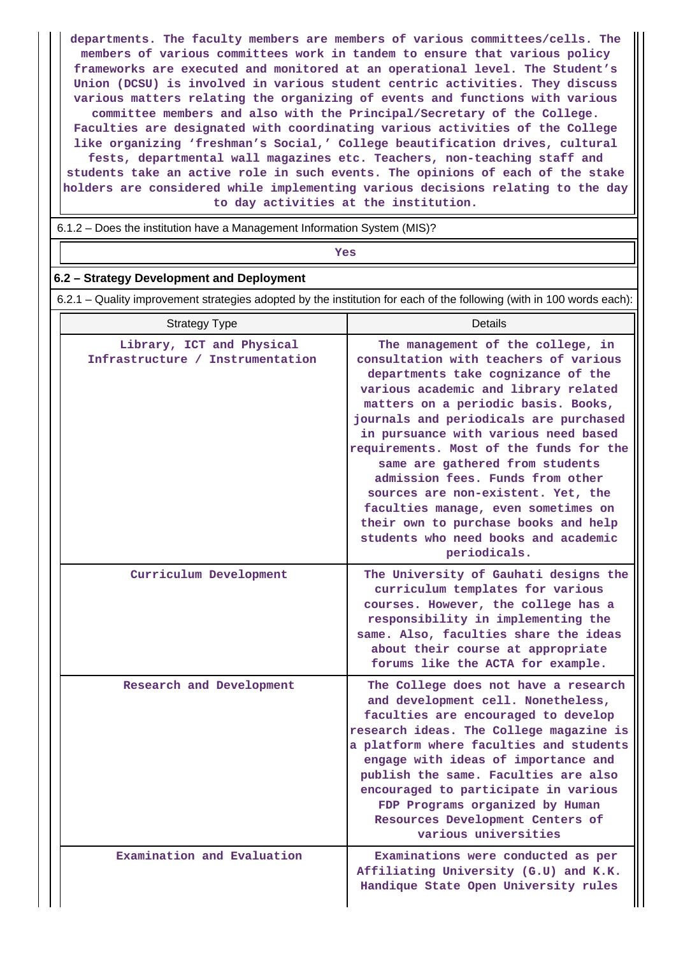**departments. The faculty members are members of various committees/cells. The members of various committees work in tandem to ensure that various policy frameworks are executed and monitored at an operational level. The Student's Union (DCSU) is involved in various student centric activities. They discuss various matters relating the organizing of events and functions with various committee members and also with the Principal/Secretary of the College. Faculties are designated with coordinating various activities of the College like organizing 'freshman's Social,' College beautification drives, cultural fests, departmental wall magazines etc. Teachers, non-teaching staff and students take an active role in such events. The opinions of each of the stake holders are considered while implementing various decisions relating to the day to day activities at the institution.**

6.1.2 – Does the institution have a Management Information System (MIS)?

*Yes* 

### **6.2 – Strategy Development and Deployment**

6.2.1 – Quality improvement strategies adopted by the institution for each of the following (with in 100 words each):

| <b>Strategy Type</b>                                          | Details                                                                                                                                                                                                                                                                                                                                                                                                                                                                                                                                                                          |
|---------------------------------------------------------------|----------------------------------------------------------------------------------------------------------------------------------------------------------------------------------------------------------------------------------------------------------------------------------------------------------------------------------------------------------------------------------------------------------------------------------------------------------------------------------------------------------------------------------------------------------------------------------|
| Library, ICT and Physical<br>Infrastructure / Instrumentation | The management of the college, in<br>consultation with teachers of various<br>departments take cognizance of the<br>various academic and library related<br>matters on a periodic basis. Books,<br>journals and periodicals are purchased<br>in pursuance with various need based<br>requirements. Most of the funds for the<br>same are gathered from students<br>admission fees. Funds from other<br>sources are non-existent. Yet, the<br>faculties manage, even sometimes on<br>their own to purchase books and help<br>students who need books and academic<br>periodicals. |
| Curriculum Development                                        | The University of Gauhati designs the<br>curriculum templates for various<br>courses. However, the college has a<br>responsibility in implementing the<br>same. Also, faculties share the ideas<br>about their course at appropriate<br>forums like the ACTA for example.                                                                                                                                                                                                                                                                                                        |
| Research and Development                                      | The College does not have a research<br>and development cell. Nonetheless,<br>faculties are encouraged to develop<br>research ideas. The College magazine is<br>a platform where faculties and students<br>engage with ideas of importance and<br>publish the same. Faculties are also<br>encouraged to participate in various<br>FDP Programs organized by Human<br>Resources Development Centers of<br>various universities                                                                                                                                                    |
| Examination and Evaluation                                    | Examinations were conducted as per<br>Affiliating University (G.U) and K.K.<br>Handique State Open University rules                                                                                                                                                                                                                                                                                                                                                                                                                                                              |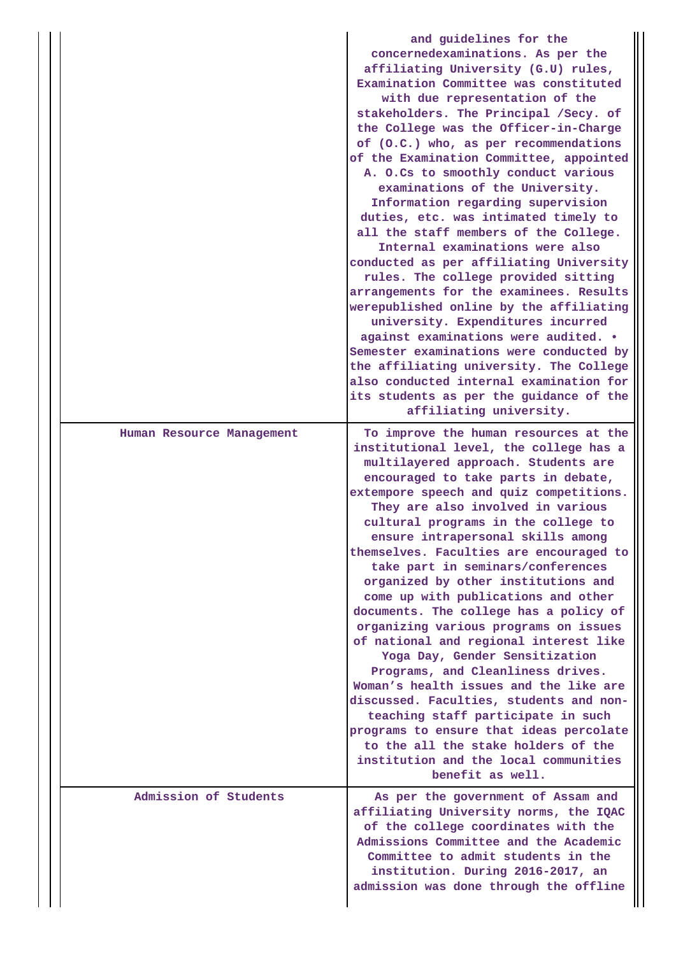|                           | and guidelines for the<br>concernedexaminations. As per the<br>affiliating University (G.U) rules,<br>Examination Committee was constituted<br>with due representation of the<br>stakeholders. The Principal /Secy. of<br>the College was the Officer-in-Charge<br>of (0.C.) who, as per recommendations<br>of the Examination Committee, appointed<br>A. O.Cs to smoothly conduct various<br>examinations of the University.<br>Information regarding supervision<br>duties, etc. was intimated timely to<br>all the staff members of the College.<br>Internal examinations were also<br>conducted as per affiliating University<br>rules. The college provided sitting<br>arrangements for the examinees. Results<br>werepublished online by the affiliating<br>university. Expenditures incurred<br>against examinations were audited. .<br>Semester examinations were conducted by<br>the affiliating university. The College<br>also conducted internal examination for<br>its students as per the guidance of the<br>affiliating university. |
|---------------------------|----------------------------------------------------------------------------------------------------------------------------------------------------------------------------------------------------------------------------------------------------------------------------------------------------------------------------------------------------------------------------------------------------------------------------------------------------------------------------------------------------------------------------------------------------------------------------------------------------------------------------------------------------------------------------------------------------------------------------------------------------------------------------------------------------------------------------------------------------------------------------------------------------------------------------------------------------------------------------------------------------------------------------------------------------|
| Human Resource Management | To improve the human resources at the<br>institutional level, the college has a<br>multilayered approach. Students are<br>encouraged to take parts in debate,<br>extempore speech and quiz competitions.<br>They are also involved in various<br>cultural programs in the college to<br>ensure intrapersonal skills among<br>themselves. Faculties are encouraged to<br>take part in seminars/conferences<br>organized by other institutions and<br>come up with publications and other<br>documents. The college has a policy of<br>organizing various programs on issues<br>of national and regional interest like<br>Yoga Day, Gender Sensitization<br>Programs, and Cleanliness drives.<br>Woman's health issues and the like are<br>discussed. Faculties, students and non-<br>teaching staff participate in such<br>programs to ensure that ideas percolate<br>to the all the stake holders of the<br>institution and the local communities<br>benefit as well.                                                                              |
| Admission of Students     | As per the government of Assam and<br>affiliating University norms, the IQAC<br>of the college coordinates with the<br>Admissions Committee and the Academic<br>Committee to admit students in the<br>institution. During 2016-2017, an<br>admission was done through the offline                                                                                                                                                                                                                                                                                                                                                                                                                                                                                                                                                                                                                                                                                                                                                                  |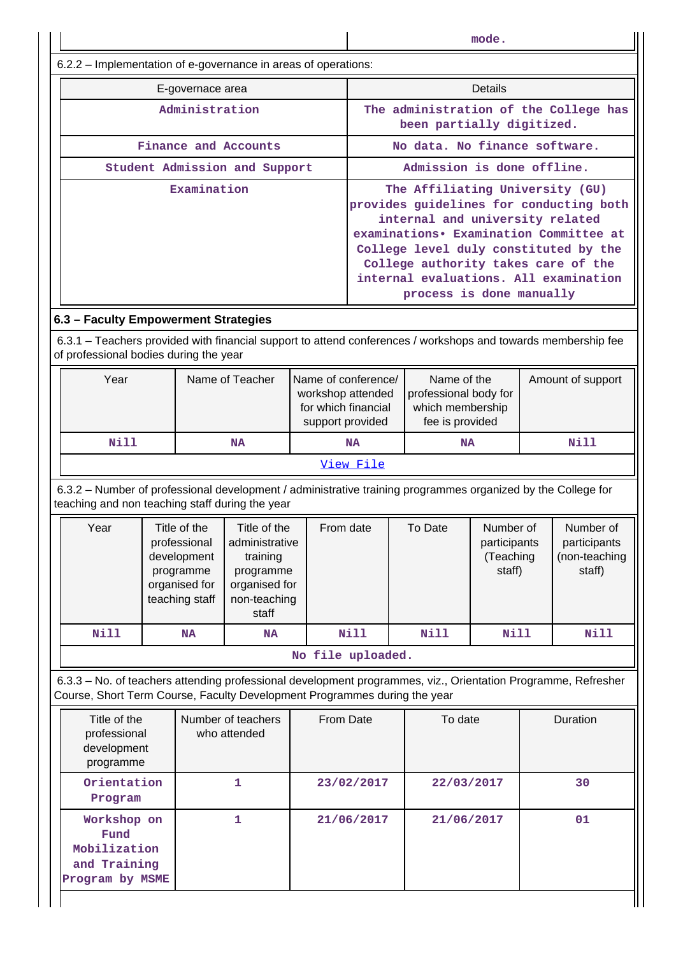| mode.                                                                                                                                                                                      |                        |                                                                                             |                                                                                                   |                                                                                                                                                                                                                                                                                                              |                                                              |                                                                             |                                                  |      |                                                      |                   |  |
|--------------------------------------------------------------------------------------------------------------------------------------------------------------------------------------------|------------------------|---------------------------------------------------------------------------------------------|---------------------------------------------------------------------------------------------------|--------------------------------------------------------------------------------------------------------------------------------------------------------------------------------------------------------------------------------------------------------------------------------------------------------------|--------------------------------------------------------------|-----------------------------------------------------------------------------|--------------------------------------------------|------|------------------------------------------------------|-------------------|--|
| 6.2.2 – Implementation of e-governance in areas of operations:                                                                                                                             |                        |                                                                                             |                                                                                                   |                                                                                                                                                                                                                                                                                                              |                                                              |                                                                             |                                                  |      |                                                      |                   |  |
|                                                                                                                                                                                            |                        | E-governace area                                                                            |                                                                                                   |                                                                                                                                                                                                                                                                                                              | Details                                                      |                                                                             |                                                  |      |                                                      |                   |  |
|                                                                                                                                                                                            |                        | Administration                                                                              |                                                                                                   |                                                                                                                                                                                                                                                                                                              | been partially digitized.                                    |                                                                             |                                                  |      | The administration of the College has                |                   |  |
|                                                                                                                                                                                            |                        |                                                                                             | Finance and Accounts                                                                              |                                                                                                                                                                                                                                                                                                              |                                                              | No data. No finance software.                                               |                                                  |      |                                                      |                   |  |
|                                                                                                                                                                                            |                        |                                                                                             | Student Admission and Support                                                                     |                                                                                                                                                                                                                                                                                                              |                                                              | Admission is done offline.                                                  |                                                  |      |                                                      |                   |  |
|                                                                                                                                                                                            |                        | Examination                                                                                 |                                                                                                   | The Affiliating University (GU)<br>provides guidelines for conducting both<br>internal and university related<br>examinations. Examination Committee at<br>College level duly constituted by the<br>College authority takes care of the<br>internal evaluations. All examination<br>process is done manually |                                                              |                                                                             |                                                  |      |                                                      |                   |  |
| 6.3 - Faculty Empowerment Strategies                                                                                                                                                       |                        |                                                                                             |                                                                                                   |                                                                                                                                                                                                                                                                                                              |                                                              |                                                                             |                                                  |      |                                                      |                   |  |
| 6.3.1 – Teachers provided with financial support to attend conferences / workshops and towards membership fee<br>of professional bodies during the year                                    |                        |                                                                                             |                                                                                                   |                                                                                                                                                                                                                                                                                                              |                                                              |                                                                             |                                                  |      |                                                      |                   |  |
| Year                                                                                                                                                                                       |                        |                                                                                             | Name of Teacher                                                                                   | Name of conference/                                                                                                                                                                                                                                                                                          | workshop attended<br>for which financial<br>support provided | Name of the<br>professional body for<br>which membership<br>fee is provided |                                                  |      |                                                      | Amount of support |  |
| <b>Nill</b>                                                                                                                                                                                | <b>NA</b><br><b>NA</b> |                                                                                             |                                                                                                   |                                                                                                                                                                                                                                                                                                              | <b>NA</b>                                                    | Nill                                                                        |                                                  |      |                                                      |                   |  |
|                                                                                                                                                                                            |                        |                                                                                             |                                                                                                   |                                                                                                                                                                                                                                                                                                              | View File                                                    |                                                                             |                                                  |      |                                                      |                   |  |
| 6.3.2 - Number of professional development / administrative training programmes organized by the College for<br>teaching and non teaching staff during the year                            |                        |                                                                                             |                                                                                                   |                                                                                                                                                                                                                                                                                                              |                                                              |                                                                             |                                                  |      |                                                      |                   |  |
| Year                                                                                                                                                                                       |                        | Title of the<br>professional<br>development<br>programme<br>organised for<br>teaching staff | Title of the<br>administrative<br>training<br>programme<br>organised for<br>non-teaching<br>staff |                                                                                                                                                                                                                                                                                                              | From date<br>To Date                                         |                                                                             | Number of<br>participants<br>(Teaching<br>staff) |      | Number of<br>participants<br>(non-teaching<br>staff) |                   |  |
| <b>Nill</b>                                                                                                                                                                                |                        | <b>NA</b>                                                                                   | <b>NA</b>                                                                                         |                                                                                                                                                                                                                                                                                                              | <b>Nill</b>                                                  | <b>Nill</b>                                                                 |                                                  | Nill |                                                      | Nill              |  |
|                                                                                                                                                                                            |                        |                                                                                             |                                                                                                   | No file uploaded.                                                                                                                                                                                                                                                                                            |                                                              |                                                                             |                                                  |      |                                                      |                   |  |
| 6.3.3 - No. of teachers attending professional development programmes, viz., Orientation Programme, Refresher<br>Course, Short Term Course, Faculty Development Programmes during the year |                        |                                                                                             |                                                                                                   |                                                                                                                                                                                                                                                                                                              |                                                              |                                                                             |                                                  |      |                                                      |                   |  |
| Number of teachers<br>Title of the<br>professional<br>who attended<br>development<br>programme                                                                                             |                        |                                                                                             | From Date                                                                                         |                                                                                                                                                                                                                                                                                                              | To date                                                      |                                                                             | Duration                                         |      |                                                      |                   |  |
| 1<br>Orientation<br>Program                                                                                                                                                                |                        |                                                                                             |                                                                                                   | 23/02/2017                                                                                                                                                                                                                                                                                                   |                                                              | 30<br>22/03/2017                                                            |                                                  |      |                                                      |                   |  |
| Workshop on<br>Fund<br>Mobilization<br>and Training<br>Program by MSME                                                                                                                     |                        |                                                                                             | 1                                                                                                 |                                                                                                                                                                                                                                                                                                              | 21/06/2017                                                   |                                                                             | 21/06/2017                                       |      |                                                      | 01                |  |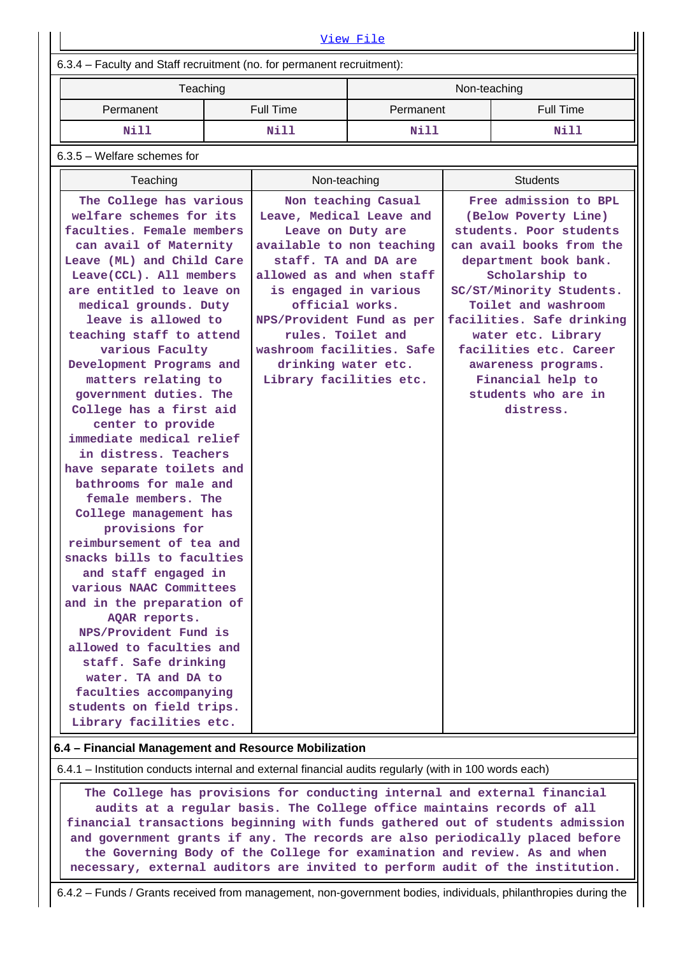| View File                                                                                                                                                                                                                                                                                                                                                                                                                                                                                                                                                                                                                                                                                                                                                                                                                                                                                                                                               |  |                                                                                                                                                                                                                                                                                                              |                     |              |                                                                                                                                                                                                                                                                                                                                                                 |  |  |  |  |  |
|---------------------------------------------------------------------------------------------------------------------------------------------------------------------------------------------------------------------------------------------------------------------------------------------------------------------------------------------------------------------------------------------------------------------------------------------------------------------------------------------------------------------------------------------------------------------------------------------------------------------------------------------------------------------------------------------------------------------------------------------------------------------------------------------------------------------------------------------------------------------------------------------------------------------------------------------------------|--|--------------------------------------------------------------------------------------------------------------------------------------------------------------------------------------------------------------------------------------------------------------------------------------------------------------|---------------------|--------------|-----------------------------------------------------------------------------------------------------------------------------------------------------------------------------------------------------------------------------------------------------------------------------------------------------------------------------------------------------------------|--|--|--|--|--|
| 6.3.4 - Faculty and Staff recruitment (no. for permanent recruitment):                                                                                                                                                                                                                                                                                                                                                                                                                                                                                                                                                                                                                                                                                                                                                                                                                                                                                  |  |                                                                                                                                                                                                                                                                                                              |                     |              |                                                                                                                                                                                                                                                                                                                                                                 |  |  |  |  |  |
| Teaching                                                                                                                                                                                                                                                                                                                                                                                                                                                                                                                                                                                                                                                                                                                                                                                                                                                                                                                                                |  |                                                                                                                                                                                                                                                                                                              |                     | Non-teaching |                                                                                                                                                                                                                                                                                                                                                                 |  |  |  |  |  |
| Permanent                                                                                                                                                                                                                                                                                                                                                                                                                                                                                                                                                                                                                                                                                                                                                                                                                                                                                                                                               |  | <b>Full Time</b>                                                                                                                                                                                                                                                                                             | Permanent           |              | <b>Full Time</b>                                                                                                                                                                                                                                                                                                                                                |  |  |  |  |  |
| Nill                                                                                                                                                                                                                                                                                                                                                                                                                                                                                                                                                                                                                                                                                                                                                                                                                                                                                                                                                    |  | Nill                                                                                                                                                                                                                                                                                                         | Nill                |              | Nill                                                                                                                                                                                                                                                                                                                                                            |  |  |  |  |  |
| $6.3.5$ – Welfare schemes for                                                                                                                                                                                                                                                                                                                                                                                                                                                                                                                                                                                                                                                                                                                                                                                                                                                                                                                           |  |                                                                                                                                                                                                                                                                                                              |                     |              |                                                                                                                                                                                                                                                                                                                                                                 |  |  |  |  |  |
| Teaching                                                                                                                                                                                                                                                                                                                                                                                                                                                                                                                                                                                                                                                                                                                                                                                                                                                                                                                                                |  | Non-teaching                                                                                                                                                                                                                                                                                                 |                     |              | <b>Students</b>                                                                                                                                                                                                                                                                                                                                                 |  |  |  |  |  |
| The College has various<br>welfare schemes for its<br>faculties. Female members<br>can avail of Maternity<br>Leave (ML) and Child Care<br>Leave(CCL). All members<br>are entitled to leave on<br>medical grounds. Duty<br>leave is allowed to<br>teaching staff to attend<br>various Faculty<br>Development Programs and<br>matters relating to<br>government duties. The<br>College has a first aid<br>center to provide<br>immediate medical relief<br>in distress. Teachers<br>have separate toilets and<br>bathrooms for male and<br>female members. The<br>College management has<br>provisions for<br>reimbursement of tea and<br>snacks bills to faculties<br>and staff engaged in<br>various NAAC Committees<br>and in the preparation of<br>AQAR reports.<br>NPS/Provident Fund is<br>allowed to faculties and<br>staff. Safe drinking<br>water. TA and DA to<br>faculties accompanying<br>students on field trips.<br>Library facilities etc. |  | Leave, Medical Leave and<br>Leave on Duty are<br>available to non teaching<br>staff. TA and DA are<br>allowed as and when staff<br>is engaged in various<br>official works.<br>NPS/Provident Fund as per<br>rules. Toilet and<br>washroom facilities. Safe<br>drinking water etc.<br>Library facilities etc. | Non teaching Casual |              | Free admission to BPL<br>(Below Poverty Line)<br>students. Poor students<br>can avail books from the<br>department book bank.<br>Scholarship to<br>SC/ST/Minority Students.<br>Toilet and washroom<br>facilities. Safe drinking<br>water etc. Library<br>facilities etc. Career<br>awareness programs.<br>Financial help to<br>students who are in<br>distress. |  |  |  |  |  |

#### **6.4 – Financial Management and Resource Mobilization**

6.4.1 – Institution conducts internal and external financial audits regularly (with in 100 words each)

 **The College has provisions for conducting internal and external financial audits at a regular basis. The College office maintains records of all financial transactions beginning with funds gathered out of students admission and government grants if any. The records are also periodically placed before the Governing Body of the College for examination and review. As and when necessary, external auditors are invited to perform audit of the institution.**

6.4.2 – Funds / Grants received from management, non-government bodies, individuals, philanthropies during the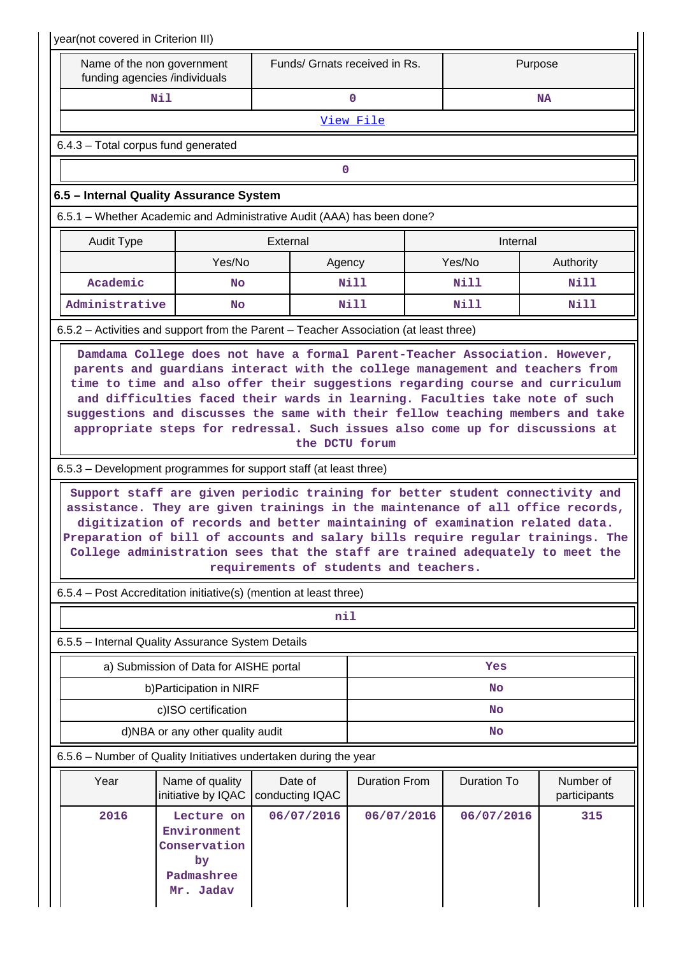| year(not covered in Criterion III)                                                    |                                                                     |                                                                                                                                                             |                               |             |                                                                                                                                                                                                                                                                                                                                     |  |  |  |  |  |  |
|---------------------------------------------------------------------------------------|---------------------------------------------------------------------|-------------------------------------------------------------------------------------------------------------------------------------------------------------|-------------------------------|-------------|-------------------------------------------------------------------------------------------------------------------------------------------------------------------------------------------------------------------------------------------------------------------------------------------------------------------------------------|--|--|--|--|--|--|
| Name of the non government<br>funding agencies /individuals                           |                                                                     |                                                                                                                                                             | Funds/ Grnats received in Rs. |             | Purpose                                                                                                                                                                                                                                                                                                                             |  |  |  |  |  |  |
|                                                                                       | Nil                                                                 |                                                                                                                                                             | $\mathbf 0$                   |             | <b>NA</b>                                                                                                                                                                                                                                                                                                                           |  |  |  |  |  |  |
| View File                                                                             |                                                                     |                                                                                                                                                             |                               |             |                                                                                                                                                                                                                                                                                                                                     |  |  |  |  |  |  |
|                                                                                       | 6.4.3 - Total corpus fund generated                                 |                                                                                                                                                             |                               |             |                                                                                                                                                                                                                                                                                                                                     |  |  |  |  |  |  |
| 0                                                                                     |                                                                     |                                                                                                                                                             |                               |             |                                                                                                                                                                                                                                                                                                                                     |  |  |  |  |  |  |
| 6.5 - Internal Quality Assurance System                                               |                                                                     |                                                                                                                                                             |                               |             |                                                                                                                                                                                                                                                                                                                                     |  |  |  |  |  |  |
| 6.5.1 – Whether Academic and Administrative Audit (AAA) has been done?                |                                                                     |                                                                                                                                                             |                               |             |                                                                                                                                                                                                                                                                                                                                     |  |  |  |  |  |  |
| <b>Audit Type</b>                                                                     |                                                                     | External                                                                                                                                                    |                               | Internal    |                                                                                                                                                                                                                                                                                                                                     |  |  |  |  |  |  |
|                                                                                       | Yes/No                                                              |                                                                                                                                                             | Agency                        | Yes/No      | Authority                                                                                                                                                                                                                                                                                                                           |  |  |  |  |  |  |
| Academic                                                                              | No                                                                  |                                                                                                                                                             | Nill                          | <b>Nill</b> | <b>Nill</b>                                                                                                                                                                                                                                                                                                                         |  |  |  |  |  |  |
| Administrative                                                                        | No                                                                  |                                                                                                                                                             | Nill                          | Nill        | Nill                                                                                                                                                                                                                                                                                                                                |  |  |  |  |  |  |
| 6.5.2 - Activities and support from the Parent - Teacher Association (at least three) |                                                                     |                                                                                                                                                             |                               |             |                                                                                                                                                                                                                                                                                                                                     |  |  |  |  |  |  |
|                                                                                       |                                                                     | and difficulties faced their wards in learning. Faculties take note of such<br>appropriate steps for redressal. Such issues also come up for discussions at | the DCTU forum                |             | time to time and also offer their suggestions regarding course and curriculum<br>suggestions and discusses the same with their fellow teaching members and take                                                                                                                                                                     |  |  |  |  |  |  |
| 6.5.3 – Development programmes for support staff (at least three)                     |                                                                     |                                                                                                                                                             |                               |             |                                                                                                                                                                                                                                                                                                                                     |  |  |  |  |  |  |
|                                                                                       |                                                                     | digitization of records and better maintaining of examination related data.<br>requirements of students and teachers.                                       |                               |             | Support staff are given periodic training for better student connectivity and<br>assistance. They are given trainings in the maintenance of all office records,<br>Preparation of bill of accounts and salary bills require regular trainings. The<br>College administration sees that the staff are trained adequately to meet the |  |  |  |  |  |  |
| 6.5.4 - Post Accreditation initiative(s) (mention at least three)                     |                                                                     |                                                                                                                                                             |                               |             |                                                                                                                                                                                                                                                                                                                                     |  |  |  |  |  |  |
|                                                                                       |                                                                     | nil                                                                                                                                                         |                               |             |                                                                                                                                                                                                                                                                                                                                     |  |  |  |  |  |  |
| 6.5.5 - Internal Quality Assurance System Details                                     |                                                                     |                                                                                                                                                             |                               |             |                                                                                                                                                                                                                                                                                                                                     |  |  |  |  |  |  |
|                                                                                       | a) Submission of Data for AISHE portal                              |                                                                                                                                                             |                               | Yes         |                                                                                                                                                                                                                                                                                                                                     |  |  |  |  |  |  |
|                                                                                       | b) Participation in NIRF                                            |                                                                                                                                                             |                               | <b>No</b>   |                                                                                                                                                                                                                                                                                                                                     |  |  |  |  |  |  |
|                                                                                       | c)ISO certification                                                 |                                                                                                                                                             | No                            |             |                                                                                                                                                                                                                                                                                                                                     |  |  |  |  |  |  |
| d)NBA or any other quality audit<br>No                                                |                                                                     |                                                                                                                                                             |                               |             |                                                                                                                                                                                                                                                                                                                                     |  |  |  |  |  |  |
| 6.5.6 – Number of Quality Initiatives undertaken during the year                      |                                                                     |                                                                                                                                                             |                               |             |                                                                                                                                                                                                                                                                                                                                     |  |  |  |  |  |  |
| Year                                                                                  | Name of quality<br>Date of<br>initiative by IQAC<br>conducting IQAC |                                                                                                                                                             | <b>Duration From</b>          | Duration To | Number of<br>participants                                                                                                                                                                                                                                                                                                           |  |  |  |  |  |  |
| 2016<br>Lecture on<br>Environment<br>Conservation<br>by<br>Padmashree<br>Mr. Jadav    |                                                                     | 06/07/2016                                                                                                                                                  | 06/07/2016                    | 06/07/2016  | 315                                                                                                                                                                                                                                                                                                                                 |  |  |  |  |  |  |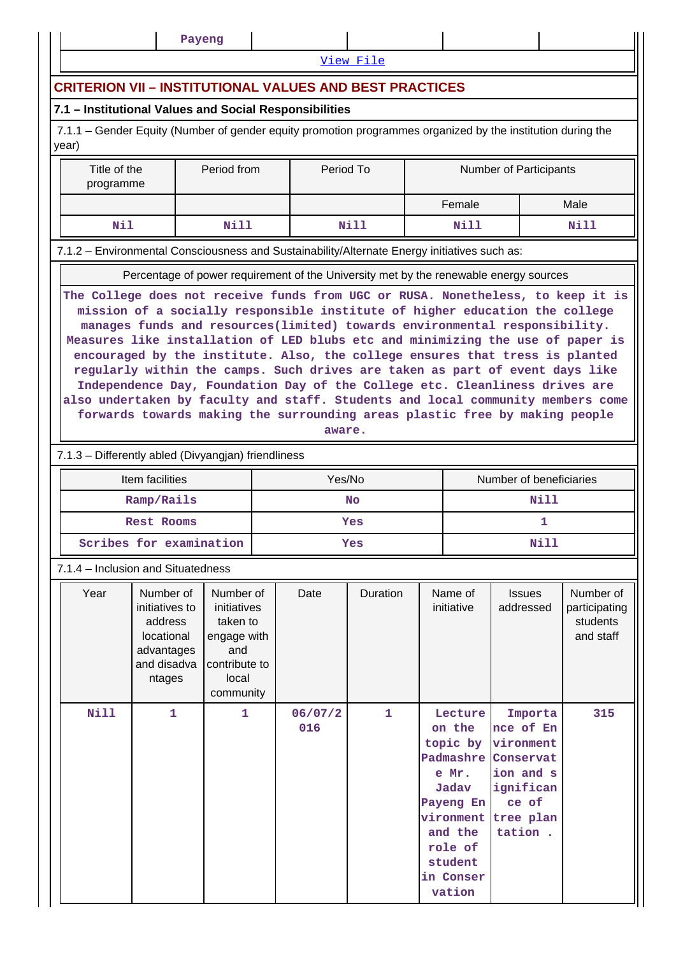|                                                                                                                                                                                                                                                                                                                                                                 |                                                                                                                                                                                                                                                                                                                                                                                                                                                                                                           | Payeng       |  |                |           |                                                                                                                                                |               |                                                                                                           |      |  |  |  |
|-----------------------------------------------------------------------------------------------------------------------------------------------------------------------------------------------------------------------------------------------------------------------------------------------------------------------------------------------------------------|-----------------------------------------------------------------------------------------------------------------------------------------------------------------------------------------------------------------------------------------------------------------------------------------------------------------------------------------------------------------------------------------------------------------------------------------------------------------------------------------------------------|--------------|--|----------------|-----------|------------------------------------------------------------------------------------------------------------------------------------------------|---------------|-----------------------------------------------------------------------------------------------------------|------|--|--|--|
|                                                                                                                                                                                                                                                                                                                                                                 |                                                                                                                                                                                                                                                                                                                                                                                                                                                                                                           |              |  |                | View File |                                                                                                                                                |               |                                                                                                           |      |  |  |  |
| <b>CRITERION VII - INSTITUTIONAL VALUES AND BEST PRACTICES</b>                                                                                                                                                                                                                                                                                                  |                                                                                                                                                                                                                                                                                                                                                                                                                                                                                                           |              |  |                |           |                                                                                                                                                |               |                                                                                                           |      |  |  |  |
| 7.1 - Institutional Values and Social Responsibilities                                                                                                                                                                                                                                                                                                          |                                                                                                                                                                                                                                                                                                                                                                                                                                                                                                           |              |  |                |           |                                                                                                                                                |               |                                                                                                           |      |  |  |  |
| 7.1.1 – Gender Equity (Number of gender equity promotion programmes organized by the institution during the<br>year)                                                                                                                                                                                                                                            |                                                                                                                                                                                                                                                                                                                                                                                                                                                                                                           |              |  |                |           |                                                                                                                                                |               |                                                                                                           |      |  |  |  |
|                                                                                                                                                                                                                                                                                                                                                                 | Period from<br>Period To<br>Title of the<br><b>Number of Participants</b><br>programme                                                                                                                                                                                                                                                                                                                                                                                                                    |              |  |                |           |                                                                                                                                                |               |                                                                                                           |      |  |  |  |
|                                                                                                                                                                                                                                                                                                                                                                 |                                                                                                                                                                                                                                                                                                                                                                                                                                                                                                           |              |  |                |           |                                                                                                                                                | Female        |                                                                                                           | Male |  |  |  |
|                                                                                                                                                                                                                                                                                                                                                                 | Nil<br><b>Nill</b><br><b>Nill</b><br><b>Nill</b><br>Nill                                                                                                                                                                                                                                                                                                                                                                                                                                                  |              |  |                |           |                                                                                                                                                |               |                                                                                                           |      |  |  |  |
| 7.1.2 - Environmental Consciousness and Sustainability/Alternate Energy initiatives such as:                                                                                                                                                                                                                                                                    |                                                                                                                                                                                                                                                                                                                                                                                                                                                                                                           |              |  |                |           |                                                                                                                                                |               |                                                                                                           |      |  |  |  |
|                                                                                                                                                                                                                                                                                                                                                                 |                                                                                                                                                                                                                                                                                                                                                                                                                                                                                                           |              |  |                |           |                                                                                                                                                |               | Percentage of power requirement of the University met by the renewable energy sources                     |      |  |  |  |
|                                                                                                                                                                                                                                                                                                                                                                 | Measures like installation of LED blubs etc and minimizing the use of paper is<br>encouraged by the institute. Also, the college ensures that tress is planted<br>regularly within the camps. Such drives are taken as part of event days like<br>Independence Day, Foundation Day of the College etc. Cleanliness drives are<br>also undertaken by faculty and staff. Students and local community members come<br>forwards towards making the surrounding areas plastic free by making people<br>aware. |              |  |                |           |                                                                                                                                                |               |                                                                                                           |      |  |  |  |
| 7.1.3 - Differently abled (Divyangjan) friendliness                                                                                                                                                                                                                                                                                                             |                                                                                                                                                                                                                                                                                                                                                                                                                                                                                                           |              |  |                |           |                                                                                                                                                |               |                                                                                                           |      |  |  |  |
|                                                                                                                                                                                                                                                                                                                                                                 | Item facilities                                                                                                                                                                                                                                                                                                                                                                                                                                                                                           |              |  | Yes/No         |           |                                                                                                                                                |               | Number of beneficiaries                                                                                   |      |  |  |  |
|                                                                                                                                                                                                                                                                                                                                                                 | Ramp/Rails                                                                                                                                                                                                                                                                                                                                                                                                                                                                                                |              |  |                | <b>No</b> |                                                                                                                                                |               | Nill                                                                                                      |      |  |  |  |
|                                                                                                                                                                                                                                                                                                                                                                 | Rest Rooms<br>Scribes for examination                                                                                                                                                                                                                                                                                                                                                                                                                                                                     |              |  |                | Yes       |                                                                                                                                                |               | 1<br><b>Nill</b>                                                                                          |      |  |  |  |
|                                                                                                                                                                                                                                                                                                                                                                 |                                                                                                                                                                                                                                                                                                                                                                                                                                                                                                           |              |  |                | Yes       |                                                                                                                                                |               |                                                                                                           |      |  |  |  |
| 7.1.4 – Inclusion and Situatedness<br>Year<br>Number of<br>Number of<br>Number of<br>Date<br>Duration<br>Name of<br><b>Issues</b><br>initiatives to<br>initiatives<br>initiative<br>addressed<br>address<br>taken to<br>students<br>locational<br>and staff<br>engage with<br>advantages<br>and<br>and disadva<br>contribute to<br>local<br>ntages<br>community |                                                                                                                                                                                                                                                                                                                                                                                                                                                                                                           |              |  |                |           |                                                                                                                                                | participating |                                                                                                           |      |  |  |  |
| Nill                                                                                                                                                                                                                                                                                                                                                            | $\mathbf{1}$                                                                                                                                                                                                                                                                                                                                                                                                                                                                                              | $\mathbf{1}$ |  | 06/07/2<br>016 | 1         | Lecture<br>on the<br>topic by<br>Padmashre<br>e Mr.<br>Jadav<br>Payeng En<br>vironment<br>and the<br>role of<br>student<br>in Conser<br>vation |               | Importa<br>nce of En<br>vironment<br>Conservat<br>ion and s<br>ignifican<br>ce of<br>tree plan<br>tation. | 315  |  |  |  |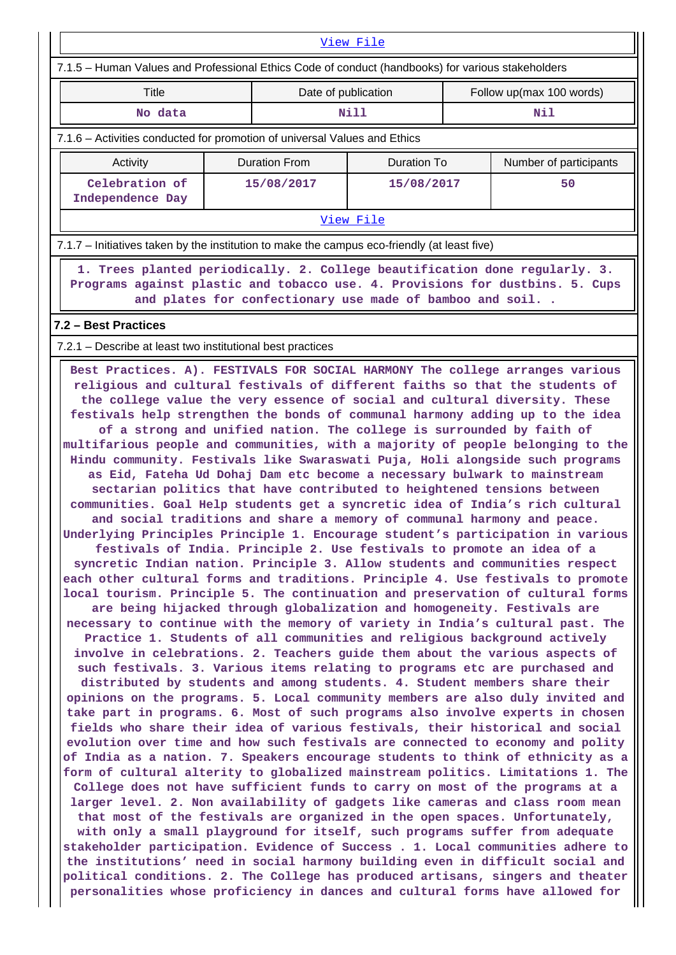| View File                                                                                                                                                                                                                                                                                                                                                                                                                                                                                                                                                                                                                                                                                                                                                                                                                                                                                                                                                                                                                                                                                                                                                                                                                                                                                                                                                                                                                                                                                                                                                                                                                                                                                                                                                                                                                                                                                                                                                                                                                                                                                                                                                                                                                                                                                                                                                                                                                                                                                                                                                                                                                                                                                                                                                                                           |  |                                                          |             |                          |                        |  |  |  |
|-----------------------------------------------------------------------------------------------------------------------------------------------------------------------------------------------------------------------------------------------------------------------------------------------------------------------------------------------------------------------------------------------------------------------------------------------------------------------------------------------------------------------------------------------------------------------------------------------------------------------------------------------------------------------------------------------------------------------------------------------------------------------------------------------------------------------------------------------------------------------------------------------------------------------------------------------------------------------------------------------------------------------------------------------------------------------------------------------------------------------------------------------------------------------------------------------------------------------------------------------------------------------------------------------------------------------------------------------------------------------------------------------------------------------------------------------------------------------------------------------------------------------------------------------------------------------------------------------------------------------------------------------------------------------------------------------------------------------------------------------------------------------------------------------------------------------------------------------------------------------------------------------------------------------------------------------------------------------------------------------------------------------------------------------------------------------------------------------------------------------------------------------------------------------------------------------------------------------------------------------------------------------------------------------------------------------------------------------------------------------------------------------------------------------------------------------------------------------------------------------------------------------------------------------------------------------------------------------------------------------------------------------------------------------------------------------------------------------------------------------------------------------------------------------------|--|----------------------------------------------------------|-------------|--------------------------|------------------------|--|--|--|
| 7.1.5 - Human Values and Professional Ethics Code of conduct (handbooks) for various stakeholders                                                                                                                                                                                                                                                                                                                                                                                                                                                                                                                                                                                                                                                                                                                                                                                                                                                                                                                                                                                                                                                                                                                                                                                                                                                                                                                                                                                                                                                                                                                                                                                                                                                                                                                                                                                                                                                                                                                                                                                                                                                                                                                                                                                                                                                                                                                                                                                                                                                                                                                                                                                                                                                                                                   |  |                                                          |             |                          |                        |  |  |  |
| Title                                                                                                                                                                                                                                                                                                                                                                                                                                                                                                                                                                                                                                                                                                                                                                                                                                                                                                                                                                                                                                                                                                                                                                                                                                                                                                                                                                                                                                                                                                                                                                                                                                                                                                                                                                                                                                                                                                                                                                                                                                                                                                                                                                                                                                                                                                                                                                                                                                                                                                                                                                                                                                                                                                                                                                                               |  | Date of publication                                      |             | Follow up(max 100 words) |                        |  |  |  |
| No data                                                                                                                                                                                                                                                                                                                                                                                                                                                                                                                                                                                                                                                                                                                                                                                                                                                                                                                                                                                                                                                                                                                                                                                                                                                                                                                                                                                                                                                                                                                                                                                                                                                                                                                                                                                                                                                                                                                                                                                                                                                                                                                                                                                                                                                                                                                                                                                                                                                                                                                                                                                                                                                                                                                                                                                             |  |                                                          | <b>Nill</b> |                          | Nil                    |  |  |  |
| 7.1.6 – Activities conducted for promotion of universal Values and Ethics                                                                                                                                                                                                                                                                                                                                                                                                                                                                                                                                                                                                                                                                                                                                                                                                                                                                                                                                                                                                                                                                                                                                                                                                                                                                                                                                                                                                                                                                                                                                                                                                                                                                                                                                                                                                                                                                                                                                                                                                                                                                                                                                                                                                                                                                                                                                                                                                                                                                                                                                                                                                                                                                                                                           |  |                                                          |             |                          |                        |  |  |  |
| Activity                                                                                                                                                                                                                                                                                                                                                                                                                                                                                                                                                                                                                                                                                                                                                                                                                                                                                                                                                                                                                                                                                                                                                                                                                                                                                                                                                                                                                                                                                                                                                                                                                                                                                                                                                                                                                                                                                                                                                                                                                                                                                                                                                                                                                                                                                                                                                                                                                                                                                                                                                                                                                                                                                                                                                                                            |  | <b>Duration From</b>                                     | Duration To |                          | Number of participants |  |  |  |
| Celebration of<br>Independence Day                                                                                                                                                                                                                                                                                                                                                                                                                                                                                                                                                                                                                                                                                                                                                                                                                                                                                                                                                                                                                                                                                                                                                                                                                                                                                                                                                                                                                                                                                                                                                                                                                                                                                                                                                                                                                                                                                                                                                                                                                                                                                                                                                                                                                                                                                                                                                                                                                                                                                                                                                                                                                                                                                                                                                                  |  | 15/08/2017                                               | 15/08/2017  |                          | 50                     |  |  |  |
|                                                                                                                                                                                                                                                                                                                                                                                                                                                                                                                                                                                                                                                                                                                                                                                                                                                                                                                                                                                                                                                                                                                                                                                                                                                                                                                                                                                                                                                                                                                                                                                                                                                                                                                                                                                                                                                                                                                                                                                                                                                                                                                                                                                                                                                                                                                                                                                                                                                                                                                                                                                                                                                                                                                                                                                                     |  |                                                          | View File   |                          |                        |  |  |  |
| 7.1.7 – Initiatives taken by the institution to make the campus eco-friendly (at least five)                                                                                                                                                                                                                                                                                                                                                                                                                                                                                                                                                                                                                                                                                                                                                                                                                                                                                                                                                                                                                                                                                                                                                                                                                                                                                                                                                                                                                                                                                                                                                                                                                                                                                                                                                                                                                                                                                                                                                                                                                                                                                                                                                                                                                                                                                                                                                                                                                                                                                                                                                                                                                                                                                                        |  |                                                          |             |                          |                        |  |  |  |
| 1. Trees planted periodically. 2. College beautification done regularly. 3.<br>Programs against plastic and tobacco use. 4. Provisions for dustbins. 5. Cups                                                                                                                                                                                                                                                                                                                                                                                                                                                                                                                                                                                                                                                                                                                                                                                                                                                                                                                                                                                                                                                                                                                                                                                                                                                                                                                                                                                                                                                                                                                                                                                                                                                                                                                                                                                                                                                                                                                                                                                                                                                                                                                                                                                                                                                                                                                                                                                                                                                                                                                                                                                                                                        |  | and plates for confectionary use made of bamboo and soil |             |                          |                        |  |  |  |
| 7.2 - Best Practices                                                                                                                                                                                                                                                                                                                                                                                                                                                                                                                                                                                                                                                                                                                                                                                                                                                                                                                                                                                                                                                                                                                                                                                                                                                                                                                                                                                                                                                                                                                                                                                                                                                                                                                                                                                                                                                                                                                                                                                                                                                                                                                                                                                                                                                                                                                                                                                                                                                                                                                                                                                                                                                                                                                                                                                |  |                                                          |             |                          |                        |  |  |  |
|                                                                                                                                                                                                                                                                                                                                                                                                                                                                                                                                                                                                                                                                                                                                                                                                                                                                                                                                                                                                                                                                                                                                                                                                                                                                                                                                                                                                                                                                                                                                                                                                                                                                                                                                                                                                                                                                                                                                                                                                                                                                                                                                                                                                                                                                                                                                                                                                                                                                                                                                                                                                                                                                                                                                                                                                     |  |                                                          |             |                          |                        |  |  |  |
| 7.2.1 – Describe at least two institutional best practices<br>Best Practices. A). FESTIVALS FOR SOCIAL HARMONY The college arranges various<br>religious and cultural festivals of different faiths so that the students of<br>the college value the very essence of social and cultural diversity. These<br>festivals help strengthen the bonds of communal harmony adding up to the idea<br>of a strong and unified nation. The college is surrounded by faith of<br>multifarious people and communities, with a majority of people belonging to the<br>Hindu community. Festivals like Swaraswati Puja, Holi alongside such programs<br>as Eid, Fateha Ud Dohaj Dam etc become a necessary bulwark to mainstream<br>sectarian politics that have contributed to heightened tensions between<br>communities. Goal Help students get a syncretic idea of India's rich cultural<br>and social traditions and share a memory of communal harmony and peace.<br>Underlying Principles Principle 1. Encourage student's participation in various<br>festivals of India. Principle 2. Use festivals to promote an idea of a<br>syncretic Indian nation. Principle 3. Allow students and communities respect<br>each other cultural forms and traditions. Principle 4. Use festivals to promote<br>local tourism. Principle 5. The continuation and preservation of cultural forms<br>are being hijacked through globalization and homogeneity. Festivals are<br>necessary to continue with the memory of variety in India's cultural past. The<br>Practice 1. Students of all communities and religious background actively<br>involve in celebrations. 2. Teachers guide them about the various aspects of<br>such festivals. 3. Various items relating to programs etc are purchased and<br>distributed by students and among students. 4. Student members share their<br>opinions on the programs. 5. Local community members are also duly invited and<br>take part in programs. 6. Most of such programs also involve experts in chosen<br>fields who share their idea of various festivals, their historical and social<br>evolution over time and how such festivals are connected to economy and polity<br>of India as a nation. 7. Speakers encourage students to think of ethnicity as a<br>form of cultural alterity to globalized mainstream politics. Limitations 1. The<br>College does not have sufficient funds to carry on most of the programs at a<br>larger level. 2. Non availability of gadgets like cameras and class room mean<br>that most of the festivals are organized in the open spaces. Unfortunately,<br>with only a small playground for itself, such programs suffer from adequate<br>stakeholder participation. Evidence of Success . 1. Local communities adhere to |  |                                                          |             |                          |                        |  |  |  |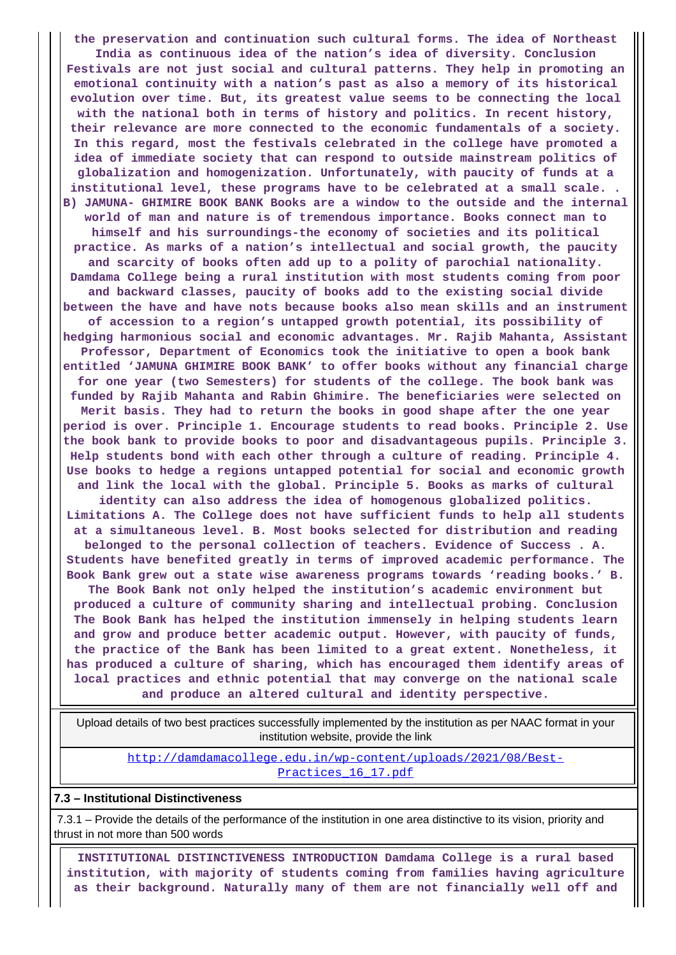**the preservation and continuation such cultural forms. The idea of Northeast India as continuous idea of the nation's idea of diversity. Conclusion Festivals are not just social and cultural patterns. They help in promoting an emotional continuity with a nation's past as also a memory of its historical evolution over time. But, its greatest value seems to be connecting the local with the national both in terms of history and politics. In recent history, their relevance are more connected to the economic fundamentals of a society. In this regard, most the festivals celebrated in the college have promoted a idea of immediate society that can respond to outside mainstream politics of globalization and homogenization. Unfortunately, with paucity of funds at a institutional level, these programs have to be celebrated at a small scale. . B) JAMUNA- GHIMIRE BOOK BANK Books are a window to the outside and the internal world of man and nature is of tremendous importance. Books connect man to himself and his surroundings-the economy of societies and its political practice. As marks of a nation's intellectual and social growth, the paucity and scarcity of books often add up to a polity of parochial nationality. Damdama College being a rural institution with most students coming from poor and backward classes, paucity of books add to the existing social divide between the have and have nots because books also mean skills and an instrument of accession to a region's untapped growth potential, its possibility of hedging harmonious social and economic advantages. Mr. Rajib Mahanta, Assistant Professor, Department of Economics took the initiative to open a book bank entitled 'JAMUNA GHIMIRE BOOK BANK' to offer books without any financial charge for one year (two Semesters) for students of the college. The book bank was funded by Rajib Mahanta and Rabin Ghimire. The beneficiaries were selected on Merit basis. They had to return the books in good shape after the one year period is over. Principle 1. Encourage students to read books. Principle 2. Use the book bank to provide books to poor and disadvantageous pupils. Principle 3. Help students bond with each other through a culture of reading. Principle 4. Use books to hedge a regions untapped potential for social and economic growth and link the local with the global. Principle 5. Books as marks of cultural identity can also address the idea of homogenous globalized politics. Limitations A. The College does not have sufficient funds to help all students at a simultaneous level. B. Most books selected for distribution and reading belonged to the personal collection of teachers. Evidence of Success . A. Students have benefited greatly in terms of improved academic performance. The Book Bank grew out a state wise awareness programs towards 'reading books.' B. The Book Bank not only helped the institution's academic environment but produced a culture of community sharing and intellectual probing. Conclusion The Book Bank has helped the institution immensely in helping students learn and grow and produce better academic output. However, with paucity of funds, the practice of the Bank has been limited to a great extent. Nonetheless, it has produced a culture of sharing, which has encouraged them identify areas of local practices and ethnic potential that may converge on the national scale and produce an altered cultural and identity perspective.**

 Upload details of two best practices successfully implemented by the institution as per NAAC format in your institution website, provide the link

[http://damdamacollege.edu.in/wp-content/uploads/2021/08/Best-](http://damdamacollege.edu.in/wp-content/uploads/2021/08/Best-Practices_16_17.pdf)Practices 16 17.pdf

#### **7.3 – Institutional Distinctiveness**

 7.3.1 – Provide the details of the performance of the institution in one area distinctive to its vision, priority and thrust in not more than 500 words

 **INSTITUTIONAL DISTINCTIVENESS INTRODUCTION Damdama College is a rural based institution, with majority of students coming from families having agriculture as their background. Naturally many of them are not financially well off and**